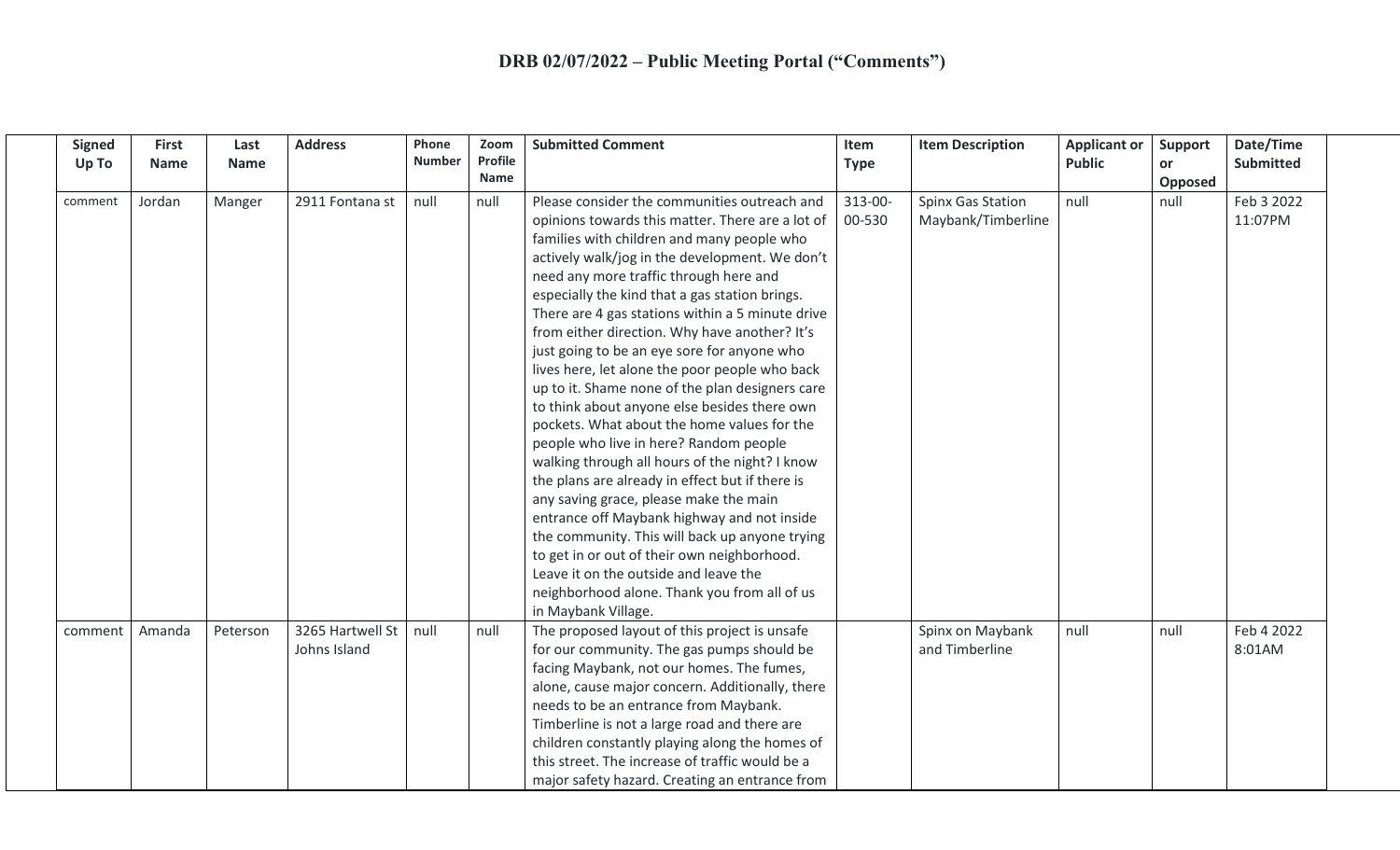| <b>Signed</b><br>Up To | <b>First</b><br><b>Name</b> | Last<br><b>Name</b> | <b>Address</b>                   | Phone<br><b>Number</b> | Zoom<br>Profile<br>Name | <b>Submitted Comment</b>                                                                                                                                                                                                                                                                                                                                                                                                                                                                                                                                                                                                                                                                                                                                                                                                                                                                                                                                                                                                                                                                                      | Item<br><b>Type</b> | <b>Item Description</b>                 | <b>Applicant or</b><br><b>Public</b> | <b>Support</b><br><b>or</b><br>Opposed | Date/Time<br><b>Submitted</b> |
|------------------------|-----------------------------|---------------------|----------------------------------|------------------------|-------------------------|---------------------------------------------------------------------------------------------------------------------------------------------------------------------------------------------------------------------------------------------------------------------------------------------------------------------------------------------------------------------------------------------------------------------------------------------------------------------------------------------------------------------------------------------------------------------------------------------------------------------------------------------------------------------------------------------------------------------------------------------------------------------------------------------------------------------------------------------------------------------------------------------------------------------------------------------------------------------------------------------------------------------------------------------------------------------------------------------------------------|---------------------|-----------------------------------------|--------------------------------------|----------------------------------------|-------------------------------|
| comment                | Jordan                      | Manger              | 2911 Fontana st                  | null                   | null                    | Please consider the communities outreach and<br>opinions towards this matter. There are a lot of<br>families with children and many people who<br>actively walk/jog in the development. We don't<br>need any more traffic through here and<br>especially the kind that a gas station brings.<br>There are 4 gas stations within a 5 minute drive<br>from either direction. Why have another? It's<br>just going to be an eye sore for anyone who<br>lives here, let alone the poor people who back<br>up to it. Shame none of the plan designers care<br>to think about anyone else besides there own<br>pockets. What about the home values for the<br>people who live in here? Random people<br>walking through all hours of the night? I know<br>the plans are already in effect but if there is<br>any saving grace, please make the main<br>entrance off Maybank highway and not inside<br>the community. This will back up anyone trying<br>to get in or out of their own neighborhood.<br>Leave it on the outside and leave the<br>neighborhood alone. Thank you from all of us<br>in Maybank Village. | 313-00-<br>00-530   | Spinx Gas Station<br>Maybank/Timberline | null                                 | null                                   | Feb 3 2022<br>11:07PM         |
| comment                | Amanda                      | Peterson            | 3265 Hartwell St<br>Johns Island | null                   | null                    | The proposed layout of this project is unsafe<br>for our community. The gas pumps should be<br>facing Maybank, not our homes. The fumes,<br>alone, cause major concern. Additionally, there<br>needs to be an entrance from Maybank.<br>Timberline is not a large road and there are<br>children constantly playing along the homes of<br>this street. The increase of traffic would be a<br>major safety hazard. Creating an entrance from                                                                                                                                                                                                                                                                                                                                                                                                                                                                                                                                                                                                                                                                   |                     | Spinx on Maybank<br>and Timberline      | null                                 | null                                   | Feb 4 2022<br>8:01AM          |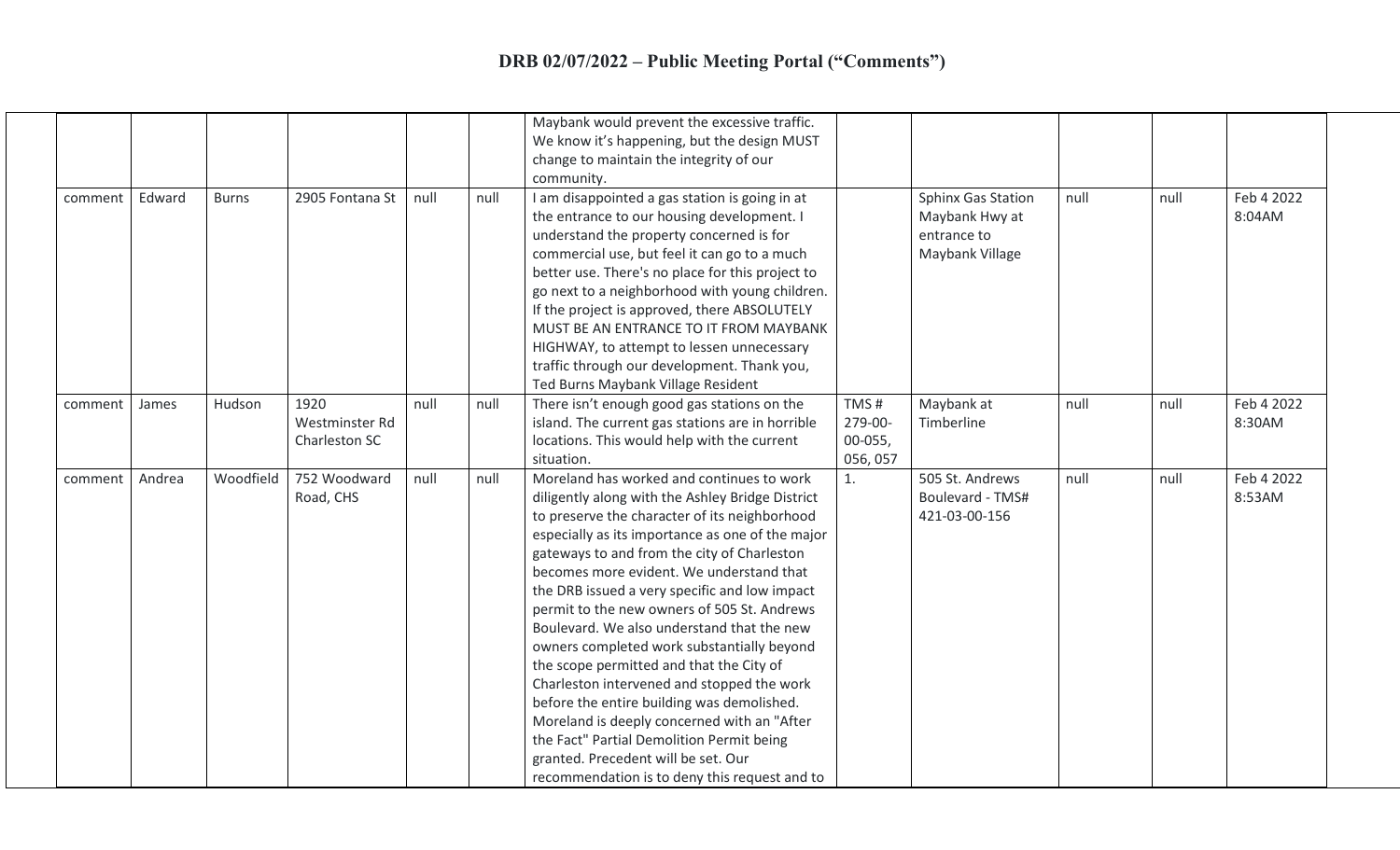|         |        |              |                                         |      |      | Maybank would prevent the excessive traffic.<br>We know it's happening, but the design MUST<br>change to maintain the integrity of our<br>community.                                                                                                                                                                                                                                                                                                                                                                                                                                                                                                                                                                                                                                                                  |                                        |                                                                               |      |      |                      |
|---------|--------|--------------|-----------------------------------------|------|------|-----------------------------------------------------------------------------------------------------------------------------------------------------------------------------------------------------------------------------------------------------------------------------------------------------------------------------------------------------------------------------------------------------------------------------------------------------------------------------------------------------------------------------------------------------------------------------------------------------------------------------------------------------------------------------------------------------------------------------------------------------------------------------------------------------------------------|----------------------------------------|-------------------------------------------------------------------------------|------|------|----------------------|
| comment | Edward | <b>Burns</b> | 2905 Fontana St                         | null | null | I am disappointed a gas station is going in at<br>the entrance to our housing development. I<br>understand the property concerned is for<br>commercial use, but feel it can go to a much<br>better use. There's no place for this project to<br>go next to a neighborhood with young children.<br>If the project is approved, there ABSOLUTELY<br>MUST BE AN ENTRANCE TO IT FROM MAYBANK<br>HIGHWAY, to attempt to lessen unnecessary<br>traffic through our development. Thank you,<br>Ted Burns Maybank Village Resident                                                                                                                                                                                                                                                                                            |                                        | <b>Sphinx Gas Station</b><br>Maybank Hwy at<br>entrance to<br>Maybank Village | null | null | Feb 4 2022<br>8:04AM |
| comment | James  | Hudson       | 1920<br>Westminster Rd<br>Charleston SC | null | null | There isn't enough good gas stations on the<br>island. The current gas stations are in horrible<br>locations. This would help with the current<br>situation.                                                                                                                                                                                                                                                                                                                                                                                                                                                                                                                                                                                                                                                          | TMS#<br>279-00-<br>00-055,<br>056, 057 | Maybank at<br>Timberline                                                      | null | null | Feb 4 2022<br>8:30AM |
| comment | Andrea | Woodfield    | 752 Woodward<br>Road, CHS               | null | null | Moreland has worked and continues to work<br>diligently along with the Ashley Bridge District<br>to preserve the character of its neighborhood<br>especially as its importance as one of the major<br>gateways to and from the city of Charleston<br>becomes more evident. We understand that<br>the DRB issued a very specific and low impact<br>permit to the new owners of 505 St. Andrews<br>Boulevard. We also understand that the new<br>owners completed work substantially beyond<br>the scope permitted and that the City of<br>Charleston intervened and stopped the work<br>before the entire building was demolished.<br>Moreland is deeply concerned with an "After<br>the Fact" Partial Demolition Permit being<br>granted. Precedent will be set. Our<br>recommendation is to deny this request and to | 1.                                     | 505 St. Andrews<br>Boulevard - TMS#<br>421-03-00-156                          | null | null | Feb 4 2022<br>8:53AM |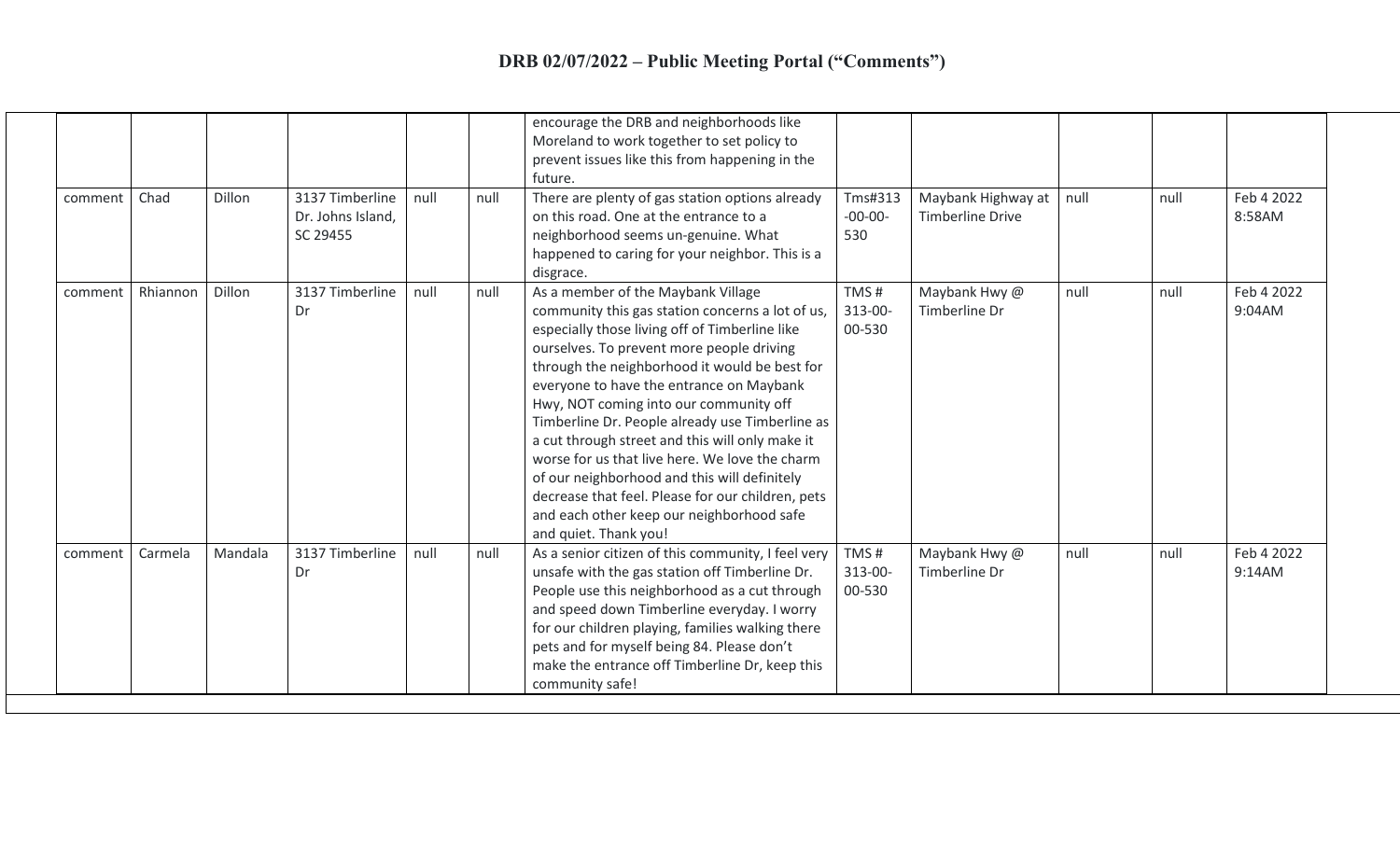| comment | Chad     | Dillon  | 3137 Timberline<br>Dr. Johns Island,<br>SC 29455 | null | null | encourage the DRB and neighborhoods like<br>Moreland to work together to set policy to<br>prevent issues like this from happening in the<br>future.<br>There are plenty of gas station options already<br>on this road. One at the entrance to a<br>neighborhood seems un-genuine. What<br>happened to caring for your neighbor. This is a<br>disgrace.                                                                                                                                                                                                                                                                                                         | Tms#313<br>$-00-00-$<br>530 | Maybank Highway at<br><b>Timberline Drive</b> | null | null | Feb 4 2022<br>8:58AM |
|---------|----------|---------|--------------------------------------------------|------|------|-----------------------------------------------------------------------------------------------------------------------------------------------------------------------------------------------------------------------------------------------------------------------------------------------------------------------------------------------------------------------------------------------------------------------------------------------------------------------------------------------------------------------------------------------------------------------------------------------------------------------------------------------------------------|-----------------------------|-----------------------------------------------|------|------|----------------------|
| comment | Rhiannon | Dillon  | 3137 Timberline<br>Dr                            | null | null | As a member of the Maybank Village<br>community this gas station concerns a lot of us,<br>especially those living off of Timberline like<br>ourselves. To prevent more people driving<br>through the neighborhood it would be best for<br>everyone to have the entrance on Maybank<br>Hwy, NOT coming into our community off<br>Timberline Dr. People already use Timberline as<br>a cut through street and this will only make it<br>worse for us that live here. We love the charm<br>of our neighborhood and this will definitely<br>decrease that feel. Please for our children, pets<br>and each other keep our neighborhood safe<br>and quiet. Thank you! | TMS#<br>313-00-<br>00-530   | Maybank Hwy @<br>Timberline Dr                | null | null | Feb 4 2022<br>9:04AM |
| comment | Carmela  | Mandala | 3137 Timberline<br>Dr                            | null | null | As a senior citizen of this community, I feel very<br>unsafe with the gas station off Timberline Dr.<br>People use this neighborhood as a cut through<br>and speed down Timberline everyday. I worry<br>for our children playing, families walking there<br>pets and for myself being 84. Please don't<br>make the entrance off Timberline Dr, keep this<br>community safe!                                                                                                                                                                                                                                                                                     | TMS#<br>313-00-<br>00-530   | Maybank Hwy @<br>Timberline Dr                | null | null | Feb 4 2022<br>9:14AM |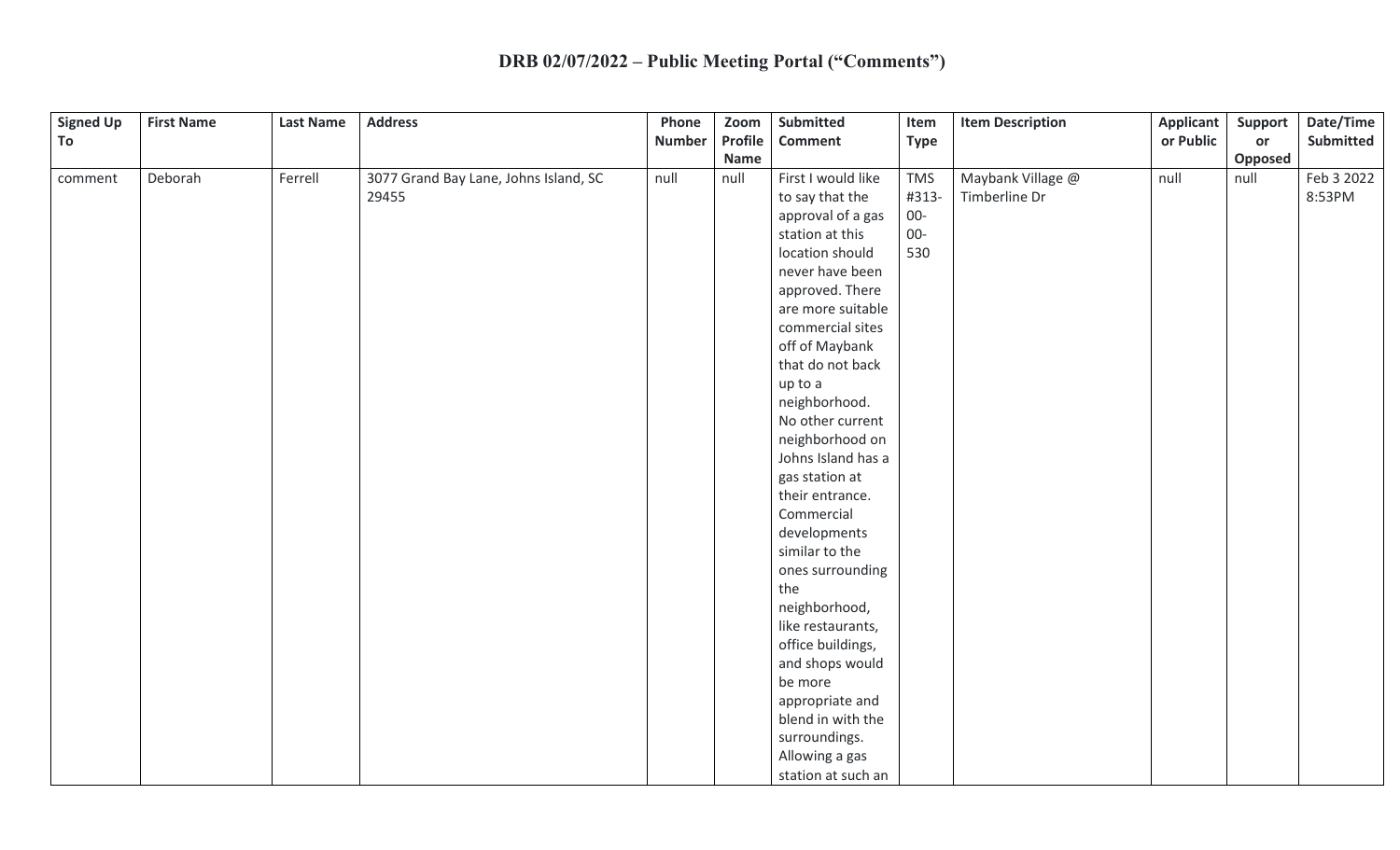| <b>Signed Up</b> | <b>First Name</b> | <b>Last Name</b> | <b>Address</b>                        | Phone         | Zoom        | Submitted          | Item        | <b>Item Description</b> | <b>Applicant</b> | Support | Date/Time  |
|------------------|-------------------|------------------|---------------------------------------|---------------|-------------|--------------------|-------------|-------------------------|------------------|---------|------------|
| To               |                   |                  |                                       | <b>Number</b> | Profile     | <b>Comment</b>     | <b>Type</b> |                         | or Public        | or      | Submitted  |
|                  |                   |                  |                                       |               | <b>Name</b> |                    |             |                         |                  | Opposed |            |
| comment          | Deborah           | Ferrell          | 3077 Grand Bay Lane, Johns Island, SC | null          | null        | First I would like | <b>TMS</b>  | Maybank Village @       | null             | null    | Feb 3 2022 |
|                  |                   |                  | 29455                                 |               |             | to say that the    | #313-       | Timberline Dr           |                  |         | 8:53PM     |
|                  |                   |                  |                                       |               |             | approval of a gas  | $00-$       |                         |                  |         |            |
|                  |                   |                  |                                       |               |             | station at this    | $00-$       |                         |                  |         |            |
|                  |                   |                  |                                       |               |             | location should    | 530         |                         |                  |         |            |
|                  |                   |                  |                                       |               |             | never have been    |             |                         |                  |         |            |
|                  |                   |                  |                                       |               |             | approved. There    |             |                         |                  |         |            |
|                  |                   |                  |                                       |               |             | are more suitable  |             |                         |                  |         |            |
|                  |                   |                  |                                       |               |             | commercial sites   |             |                         |                  |         |            |
|                  |                   |                  |                                       |               |             | off of Maybank     |             |                         |                  |         |            |
|                  |                   |                  |                                       |               |             | that do not back   |             |                         |                  |         |            |
|                  |                   |                  |                                       |               |             | up to a            |             |                         |                  |         |            |
|                  |                   |                  |                                       |               |             | neighborhood.      |             |                         |                  |         |            |
|                  |                   |                  |                                       |               |             | No other current   |             |                         |                  |         |            |
|                  |                   |                  |                                       |               |             | neighborhood on    |             |                         |                  |         |            |
|                  |                   |                  |                                       |               |             | Johns Island has a |             |                         |                  |         |            |
|                  |                   |                  |                                       |               |             | gas station at     |             |                         |                  |         |            |
|                  |                   |                  |                                       |               |             | their entrance.    |             |                         |                  |         |            |
|                  |                   |                  |                                       |               |             | Commercial         |             |                         |                  |         |            |
|                  |                   |                  |                                       |               |             | developments       |             |                         |                  |         |            |
|                  |                   |                  |                                       |               |             | similar to the     |             |                         |                  |         |            |
|                  |                   |                  |                                       |               |             | ones surrounding   |             |                         |                  |         |            |
|                  |                   |                  |                                       |               |             | the                |             |                         |                  |         |            |
|                  |                   |                  |                                       |               |             | neighborhood,      |             |                         |                  |         |            |
|                  |                   |                  |                                       |               |             | like restaurants,  |             |                         |                  |         |            |
|                  |                   |                  |                                       |               |             | office buildings,  |             |                         |                  |         |            |
|                  |                   |                  |                                       |               |             | and shops would    |             |                         |                  |         |            |
|                  |                   |                  |                                       |               |             | be more            |             |                         |                  |         |            |
|                  |                   |                  |                                       |               |             | appropriate and    |             |                         |                  |         |            |
|                  |                   |                  |                                       |               |             | blend in with the  |             |                         |                  |         |            |
|                  |                   |                  |                                       |               |             | surroundings.      |             |                         |                  |         |            |
|                  |                   |                  |                                       |               |             | Allowing a gas     |             |                         |                  |         |            |
|                  |                   |                  |                                       |               |             | station at such an |             |                         |                  |         |            |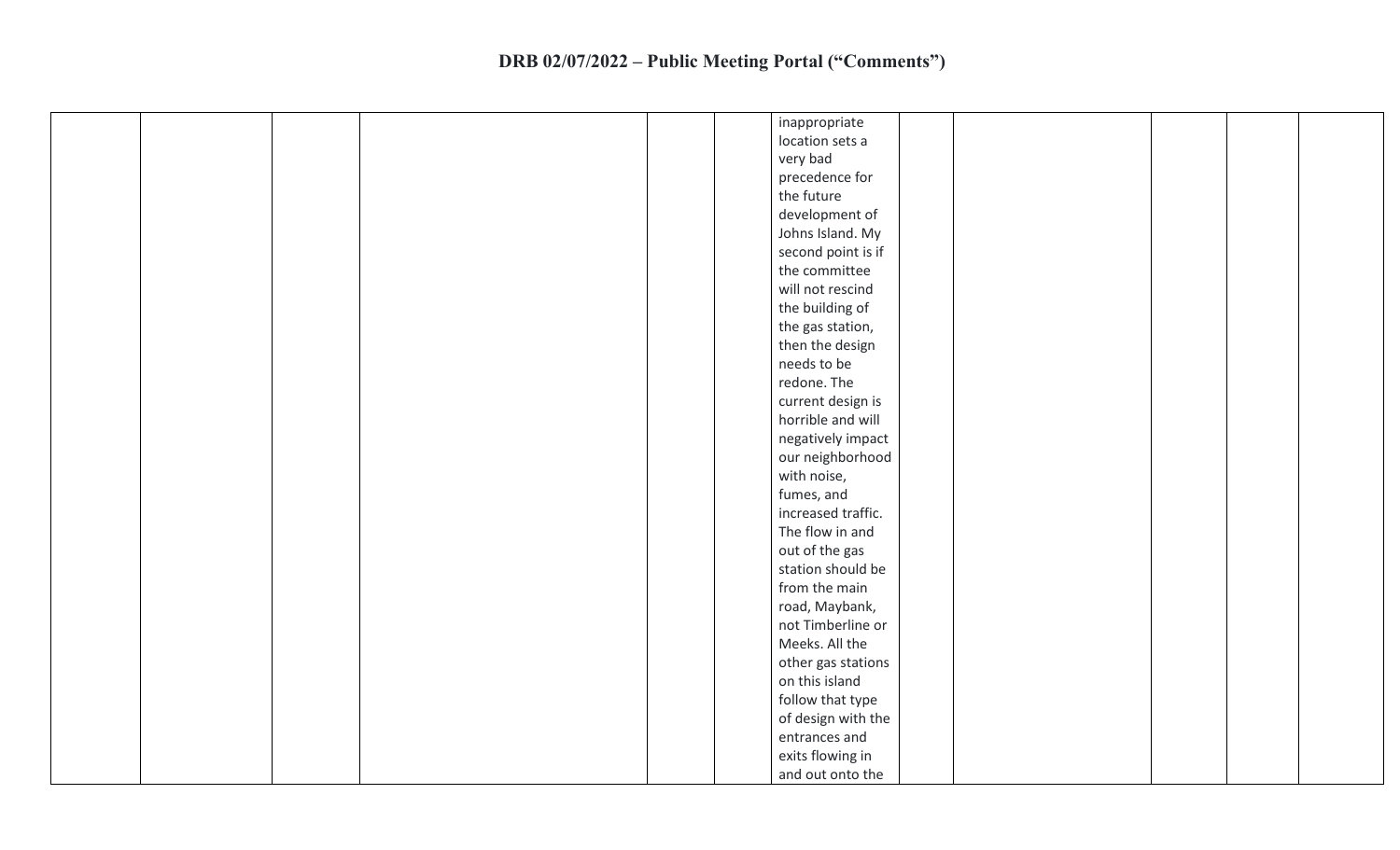| inappropriate      |
|--------------------|
| location sets a    |
| very bad           |
| precedence for     |
| the future         |
| development of     |
| Johns Island. My   |
| second point is if |
| the committee      |
| will not rescind   |
| the building of    |
| the gas station,   |
| then the design    |
| needs to be        |
| redone. The        |
| current design is  |
| horrible and will  |
| negatively impact  |
| our neighborhood   |
| with noise,        |
| fumes, and         |
| increased traffic. |
| The flow in and    |
| out of the gas     |
| station should be  |
| from the main      |
| road, Maybank,     |
| not Timberline or  |
| Meeks. All the     |
| other gas stations |
| on this island     |
| follow that type   |
| of design with the |
| entrances and      |
| exits flowing in   |
| and out onto the   |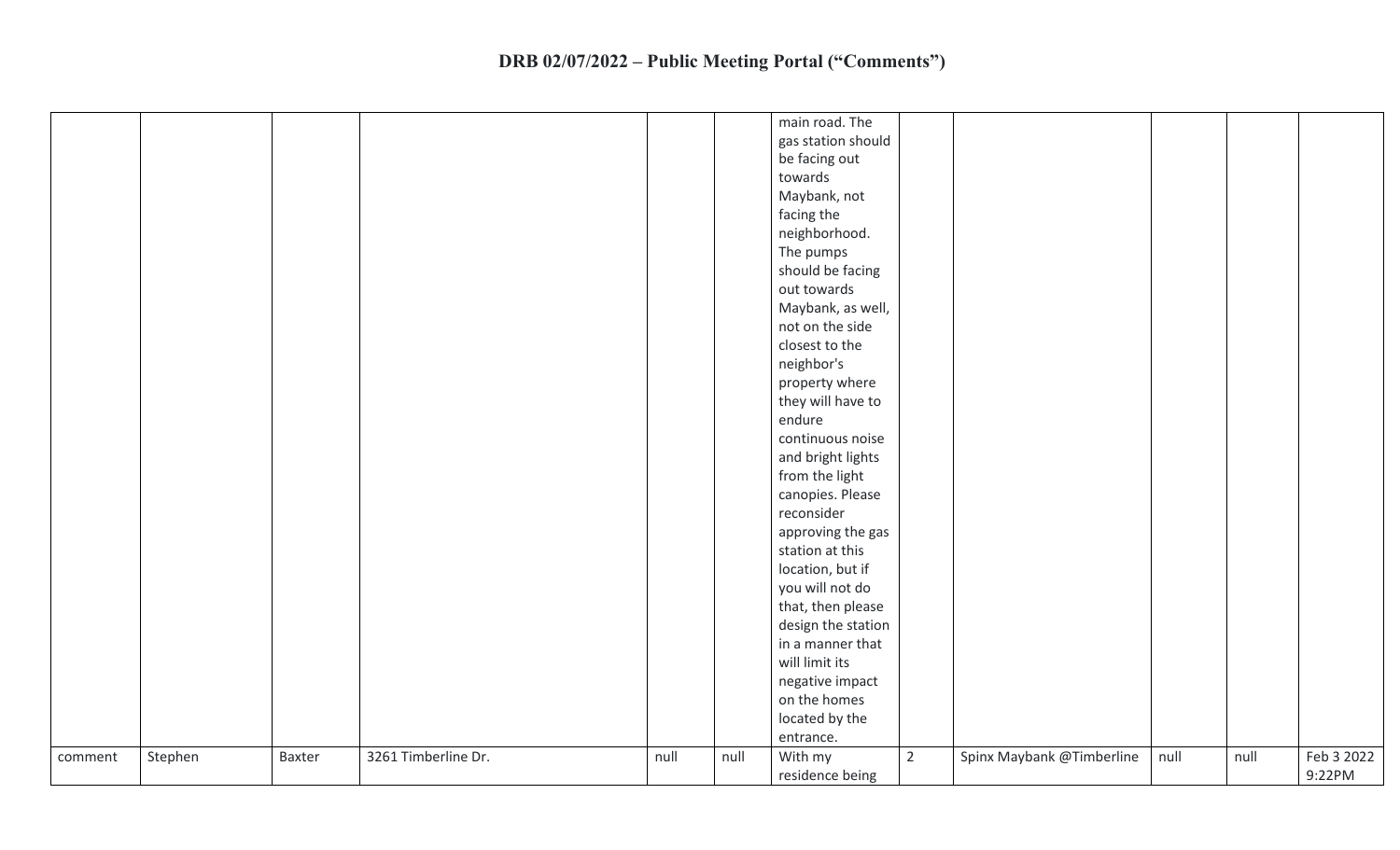|         |         |        |                     |      |      | main road. The     |                |                           |      |      |            |
|---------|---------|--------|---------------------|------|------|--------------------|----------------|---------------------------|------|------|------------|
|         |         |        |                     |      |      | gas station should |                |                           |      |      |            |
|         |         |        |                     |      |      | be facing out      |                |                           |      |      |            |
|         |         |        |                     |      |      | towards            |                |                           |      |      |            |
|         |         |        |                     |      |      | Maybank, not       |                |                           |      |      |            |
|         |         |        |                     |      |      | facing the         |                |                           |      |      |            |
|         |         |        |                     |      |      | neighborhood.      |                |                           |      |      |            |
|         |         |        |                     |      |      | The pumps          |                |                           |      |      |            |
|         |         |        |                     |      |      | should be facing   |                |                           |      |      |            |
|         |         |        |                     |      |      | out towards        |                |                           |      |      |            |
|         |         |        |                     |      |      | Maybank, as well,  |                |                           |      |      |            |
|         |         |        |                     |      |      | not on the side    |                |                           |      |      |            |
|         |         |        |                     |      |      | closest to the     |                |                           |      |      |            |
|         |         |        |                     |      |      | neighbor's         |                |                           |      |      |            |
|         |         |        |                     |      |      | property where     |                |                           |      |      |            |
|         |         |        |                     |      |      | they will have to  |                |                           |      |      |            |
|         |         |        |                     |      |      | endure             |                |                           |      |      |            |
|         |         |        |                     |      |      | continuous noise   |                |                           |      |      |            |
|         |         |        |                     |      |      | and bright lights  |                |                           |      |      |            |
|         |         |        |                     |      |      | from the light     |                |                           |      |      |            |
|         |         |        |                     |      |      | canopies. Please   |                |                           |      |      |            |
|         |         |        |                     |      |      | reconsider         |                |                           |      |      |            |
|         |         |        |                     |      |      | approving the gas  |                |                           |      |      |            |
|         |         |        |                     |      |      | station at this    |                |                           |      |      |            |
|         |         |        |                     |      |      | location, but if   |                |                           |      |      |            |
|         |         |        |                     |      |      | you will not do    |                |                           |      |      |            |
|         |         |        |                     |      |      | that, then please  |                |                           |      |      |            |
|         |         |        |                     |      |      | design the station |                |                           |      |      |            |
|         |         |        |                     |      |      | in a manner that   |                |                           |      |      |            |
|         |         |        |                     |      |      | will limit its     |                |                           |      |      |            |
|         |         |        |                     |      |      | negative impact    |                |                           |      |      |            |
|         |         |        |                     |      |      | on the homes       |                |                           |      |      |            |
|         |         |        |                     |      |      | located by the     |                |                           |      |      |            |
|         |         |        |                     |      |      | entrance.          |                |                           |      |      |            |
| comment | Stephen | Baxter | 3261 Timberline Dr. | null | null | With my            | $\overline{2}$ | Spinx Maybank @Timberline | null | null | Feb 3 2022 |
|         |         |        |                     |      |      | residence being    |                |                           |      |      | 9:22PM     |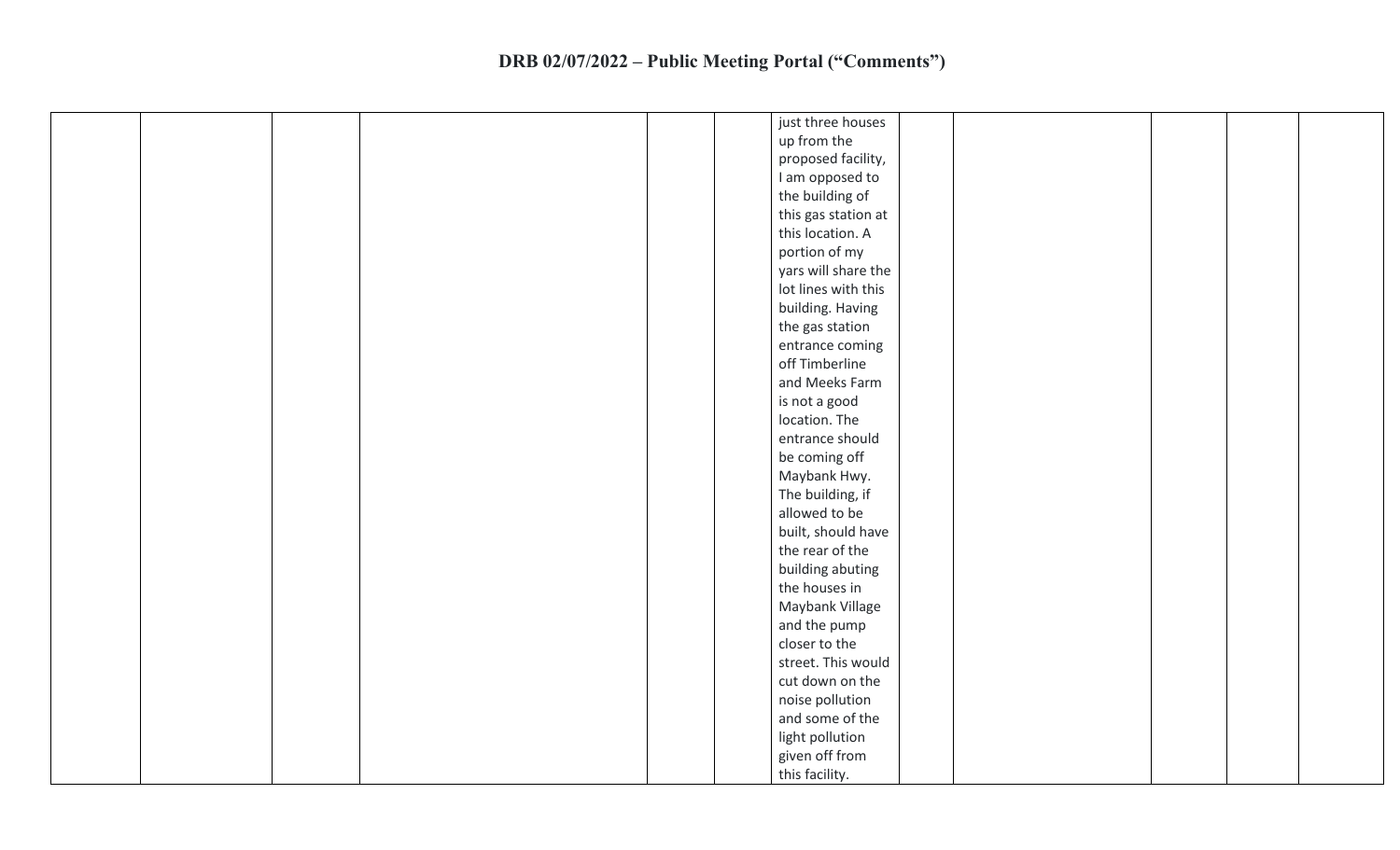| up from the<br>proposed facility,<br>I am opposed to<br>the building of<br>this gas station at<br>this location. A<br>portion of my<br>yars will share the<br>lot lines with this<br>building. Having<br>the gas station<br>entrance coming<br>off Timberline<br>and Meeks Farm<br>is not a good<br>location. The<br>entrance should<br>be coming off<br>Maybank Hwy.<br>The building, if<br>allowed to be<br>built, should have<br>the rear of the<br>building abuting<br>the houses in<br>Maybank Village<br>and the pump<br>closer to the |  | just three houses |  |
|----------------------------------------------------------------------------------------------------------------------------------------------------------------------------------------------------------------------------------------------------------------------------------------------------------------------------------------------------------------------------------------------------------------------------------------------------------------------------------------------------------------------------------------------|--|-------------------|--|
|                                                                                                                                                                                                                                                                                                                                                                                                                                                                                                                                              |  |                   |  |
|                                                                                                                                                                                                                                                                                                                                                                                                                                                                                                                                              |  |                   |  |
|                                                                                                                                                                                                                                                                                                                                                                                                                                                                                                                                              |  |                   |  |
|                                                                                                                                                                                                                                                                                                                                                                                                                                                                                                                                              |  |                   |  |
|                                                                                                                                                                                                                                                                                                                                                                                                                                                                                                                                              |  |                   |  |
|                                                                                                                                                                                                                                                                                                                                                                                                                                                                                                                                              |  |                   |  |
|                                                                                                                                                                                                                                                                                                                                                                                                                                                                                                                                              |  |                   |  |
|                                                                                                                                                                                                                                                                                                                                                                                                                                                                                                                                              |  |                   |  |
|                                                                                                                                                                                                                                                                                                                                                                                                                                                                                                                                              |  |                   |  |
|                                                                                                                                                                                                                                                                                                                                                                                                                                                                                                                                              |  |                   |  |
|                                                                                                                                                                                                                                                                                                                                                                                                                                                                                                                                              |  |                   |  |
|                                                                                                                                                                                                                                                                                                                                                                                                                                                                                                                                              |  |                   |  |
|                                                                                                                                                                                                                                                                                                                                                                                                                                                                                                                                              |  |                   |  |
|                                                                                                                                                                                                                                                                                                                                                                                                                                                                                                                                              |  |                   |  |
|                                                                                                                                                                                                                                                                                                                                                                                                                                                                                                                                              |  |                   |  |
|                                                                                                                                                                                                                                                                                                                                                                                                                                                                                                                                              |  |                   |  |
|                                                                                                                                                                                                                                                                                                                                                                                                                                                                                                                                              |  |                   |  |
|                                                                                                                                                                                                                                                                                                                                                                                                                                                                                                                                              |  |                   |  |
|                                                                                                                                                                                                                                                                                                                                                                                                                                                                                                                                              |  |                   |  |
|                                                                                                                                                                                                                                                                                                                                                                                                                                                                                                                                              |  |                   |  |
|                                                                                                                                                                                                                                                                                                                                                                                                                                                                                                                                              |  |                   |  |
|                                                                                                                                                                                                                                                                                                                                                                                                                                                                                                                                              |  |                   |  |
|                                                                                                                                                                                                                                                                                                                                                                                                                                                                                                                                              |  |                   |  |
|                                                                                                                                                                                                                                                                                                                                                                                                                                                                                                                                              |  |                   |  |
|                                                                                                                                                                                                                                                                                                                                                                                                                                                                                                                                              |  |                   |  |
|                                                                                                                                                                                                                                                                                                                                                                                                                                                                                                                                              |  |                   |  |
|                                                                                                                                                                                                                                                                                                                                                                                                                                                                                                                                              |  |                   |  |
|                                                                                                                                                                                                                                                                                                                                                                                                                                                                                                                                              |  |                   |  |
| street. This would                                                                                                                                                                                                                                                                                                                                                                                                                                                                                                                           |  |                   |  |
| cut down on the                                                                                                                                                                                                                                                                                                                                                                                                                                                                                                                              |  |                   |  |
| noise pollution                                                                                                                                                                                                                                                                                                                                                                                                                                                                                                                              |  |                   |  |
| and some of the                                                                                                                                                                                                                                                                                                                                                                                                                                                                                                                              |  |                   |  |
| light pollution                                                                                                                                                                                                                                                                                                                                                                                                                                                                                                                              |  |                   |  |
| given off from                                                                                                                                                                                                                                                                                                                                                                                                                                                                                                                               |  |                   |  |
| this facility.                                                                                                                                                                                                                                                                                                                                                                                                                                                                                                                               |  |                   |  |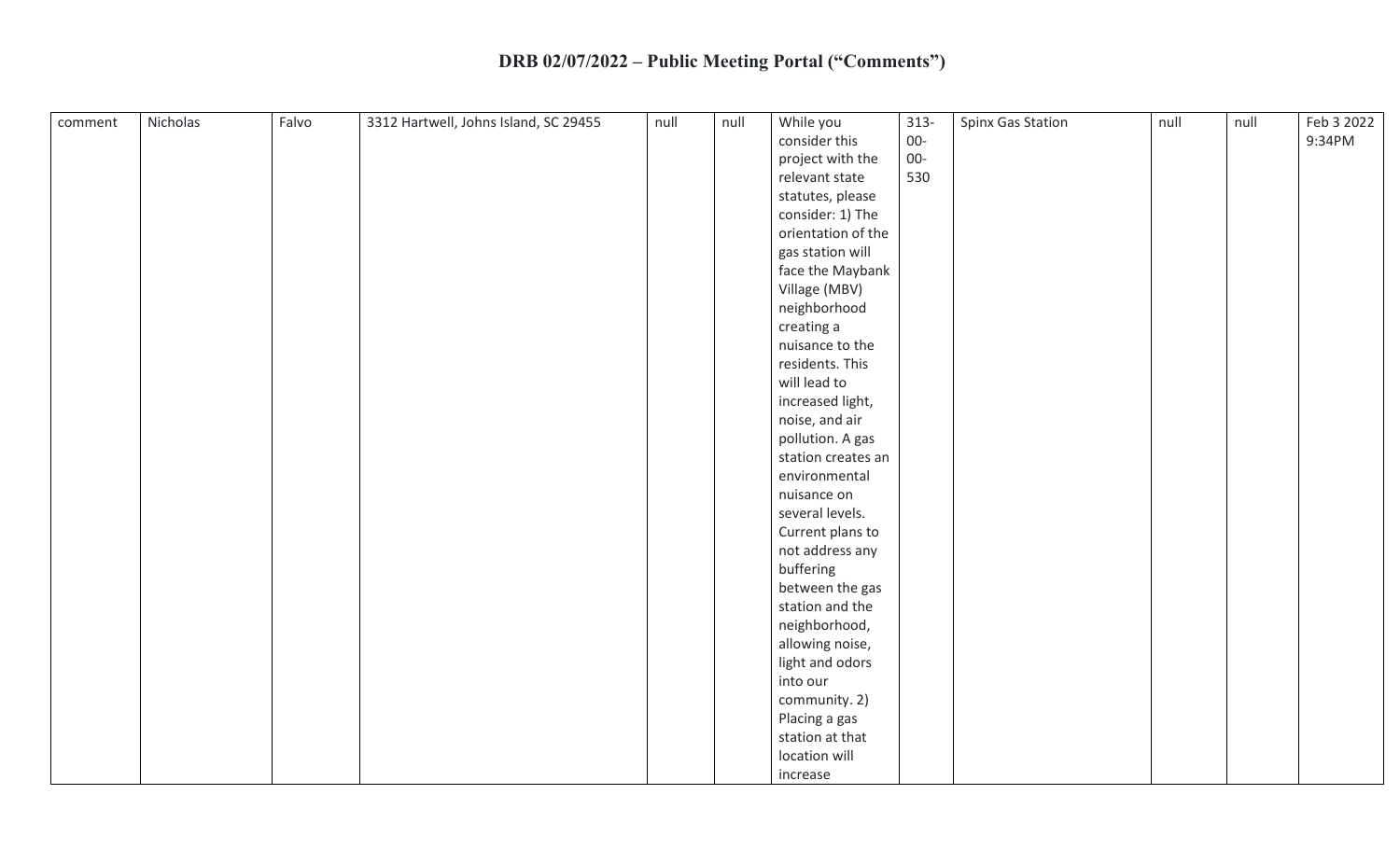| comment | Nicholas | Falvo | 3312 Hartwell, Johns Island, SC 29455 | null | null | While you          | $313 -$ | Spinx Gas Station | null | null | Feb 3 2022 |
|---------|----------|-------|---------------------------------------|------|------|--------------------|---------|-------------------|------|------|------------|
|         |          |       |                                       |      |      | consider this      | $00-$   |                   |      |      | 9:34PM     |
|         |          |       |                                       |      |      | project with the   | $00-$   |                   |      |      |            |
|         |          |       |                                       |      |      | relevant state     | 530     |                   |      |      |            |
|         |          |       |                                       |      |      | statutes, please   |         |                   |      |      |            |
|         |          |       |                                       |      |      | consider: 1) The   |         |                   |      |      |            |
|         |          |       |                                       |      |      | orientation of the |         |                   |      |      |            |
|         |          |       |                                       |      |      | gas station will   |         |                   |      |      |            |
|         |          |       |                                       |      |      | face the Maybank   |         |                   |      |      |            |
|         |          |       |                                       |      |      | Village (MBV)      |         |                   |      |      |            |
|         |          |       |                                       |      |      | neighborhood       |         |                   |      |      |            |
|         |          |       |                                       |      |      | creating a         |         |                   |      |      |            |
|         |          |       |                                       |      |      | nuisance to the    |         |                   |      |      |            |
|         |          |       |                                       |      |      | residents. This    |         |                   |      |      |            |
|         |          |       |                                       |      |      | will lead to       |         |                   |      |      |            |
|         |          |       |                                       |      |      | increased light,   |         |                   |      |      |            |
|         |          |       |                                       |      |      | noise, and air     |         |                   |      |      |            |
|         |          |       |                                       |      |      | pollution. A gas   |         |                   |      |      |            |
|         |          |       |                                       |      |      | station creates an |         |                   |      |      |            |
|         |          |       |                                       |      |      | environmental      |         |                   |      |      |            |
|         |          |       |                                       |      |      | nuisance on        |         |                   |      |      |            |
|         |          |       |                                       |      |      | several levels.    |         |                   |      |      |            |
|         |          |       |                                       |      |      | Current plans to   |         |                   |      |      |            |
|         |          |       |                                       |      |      | not address any    |         |                   |      |      |            |
|         |          |       |                                       |      |      | buffering          |         |                   |      |      |            |
|         |          |       |                                       |      |      | between the gas    |         |                   |      |      |            |
|         |          |       |                                       |      |      | station and the    |         |                   |      |      |            |
|         |          |       |                                       |      |      | neighborhood,      |         |                   |      |      |            |
|         |          |       |                                       |      |      | allowing noise,    |         |                   |      |      |            |
|         |          |       |                                       |      |      | light and odors    |         |                   |      |      |            |
|         |          |       |                                       |      |      | into our           |         |                   |      |      |            |
|         |          |       |                                       |      |      | community. 2)      |         |                   |      |      |            |
|         |          |       |                                       |      |      | Placing a gas      |         |                   |      |      |            |
|         |          |       |                                       |      |      | station at that    |         |                   |      |      |            |
|         |          |       |                                       |      |      | location will      |         |                   |      |      |            |
|         |          |       |                                       |      |      | increase           |         |                   |      |      |            |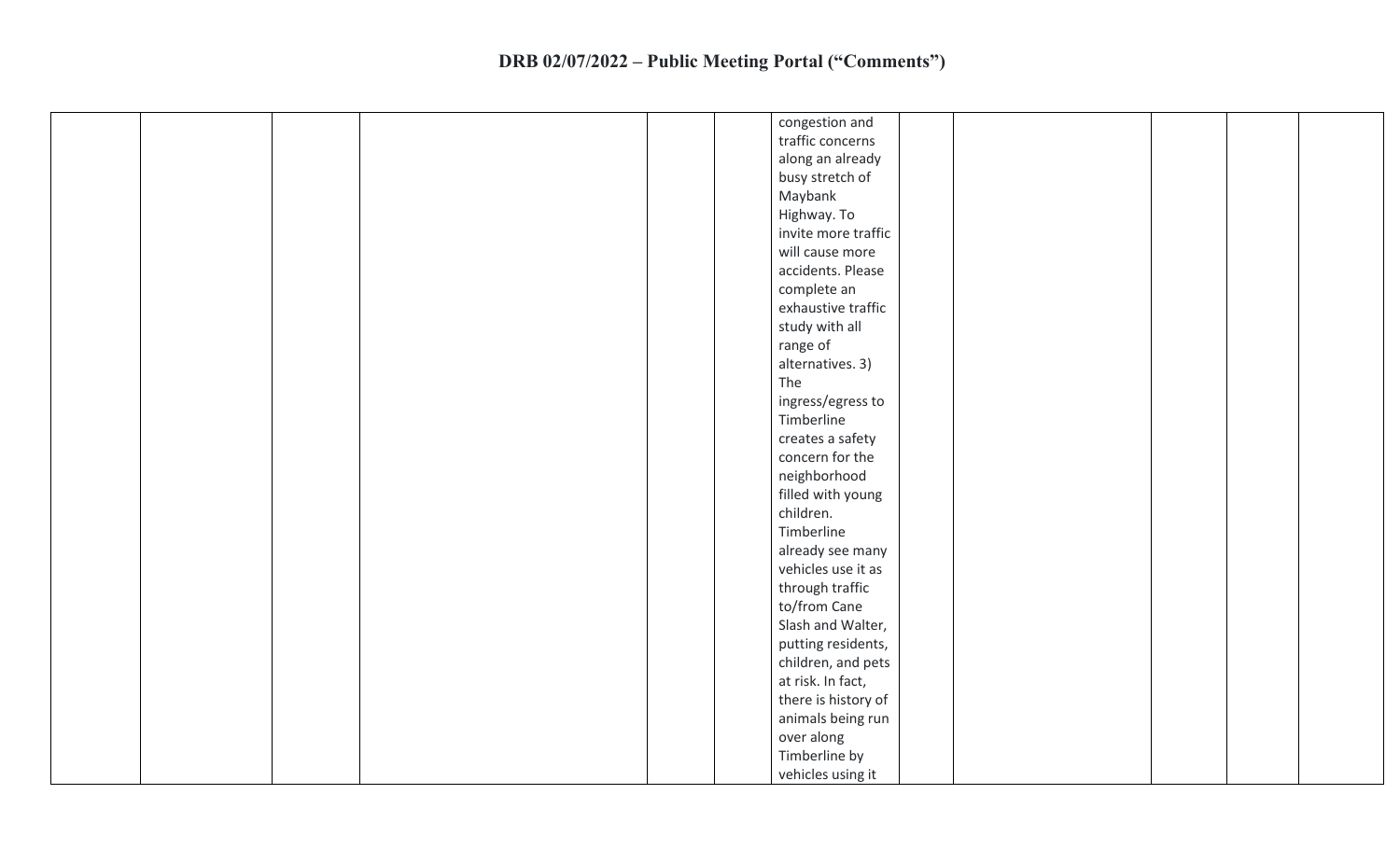|  |  | congestion and      |  |  |  |
|--|--|---------------------|--|--|--|
|  |  | traffic concerns    |  |  |  |
|  |  | along an already    |  |  |  |
|  |  | busy stretch of     |  |  |  |
|  |  | Maybank             |  |  |  |
|  |  | Highway. To         |  |  |  |
|  |  | invite more traffic |  |  |  |
|  |  | will cause more     |  |  |  |
|  |  | accidents. Please   |  |  |  |
|  |  | complete an         |  |  |  |
|  |  | exhaustive traffic  |  |  |  |
|  |  | study with all      |  |  |  |
|  |  | range of            |  |  |  |
|  |  | alternatives. 3)    |  |  |  |
|  |  | The                 |  |  |  |
|  |  | ingress/egress to   |  |  |  |
|  |  | Timberline          |  |  |  |
|  |  | creates a safety    |  |  |  |
|  |  | concern for the     |  |  |  |
|  |  | neighborhood        |  |  |  |
|  |  | filled with young   |  |  |  |
|  |  | children.           |  |  |  |
|  |  | Timberline          |  |  |  |
|  |  | already see many    |  |  |  |
|  |  | vehicles use it as  |  |  |  |
|  |  | through traffic     |  |  |  |
|  |  | to/from Cane        |  |  |  |
|  |  | Slash and Walter,   |  |  |  |
|  |  | putting residents,  |  |  |  |
|  |  | children, and pets  |  |  |  |
|  |  | at risk. In fact,   |  |  |  |
|  |  |                     |  |  |  |
|  |  | there is history of |  |  |  |
|  |  | animals being run   |  |  |  |
|  |  | over along          |  |  |  |
|  |  | Timberline by       |  |  |  |
|  |  | vehicles using it   |  |  |  |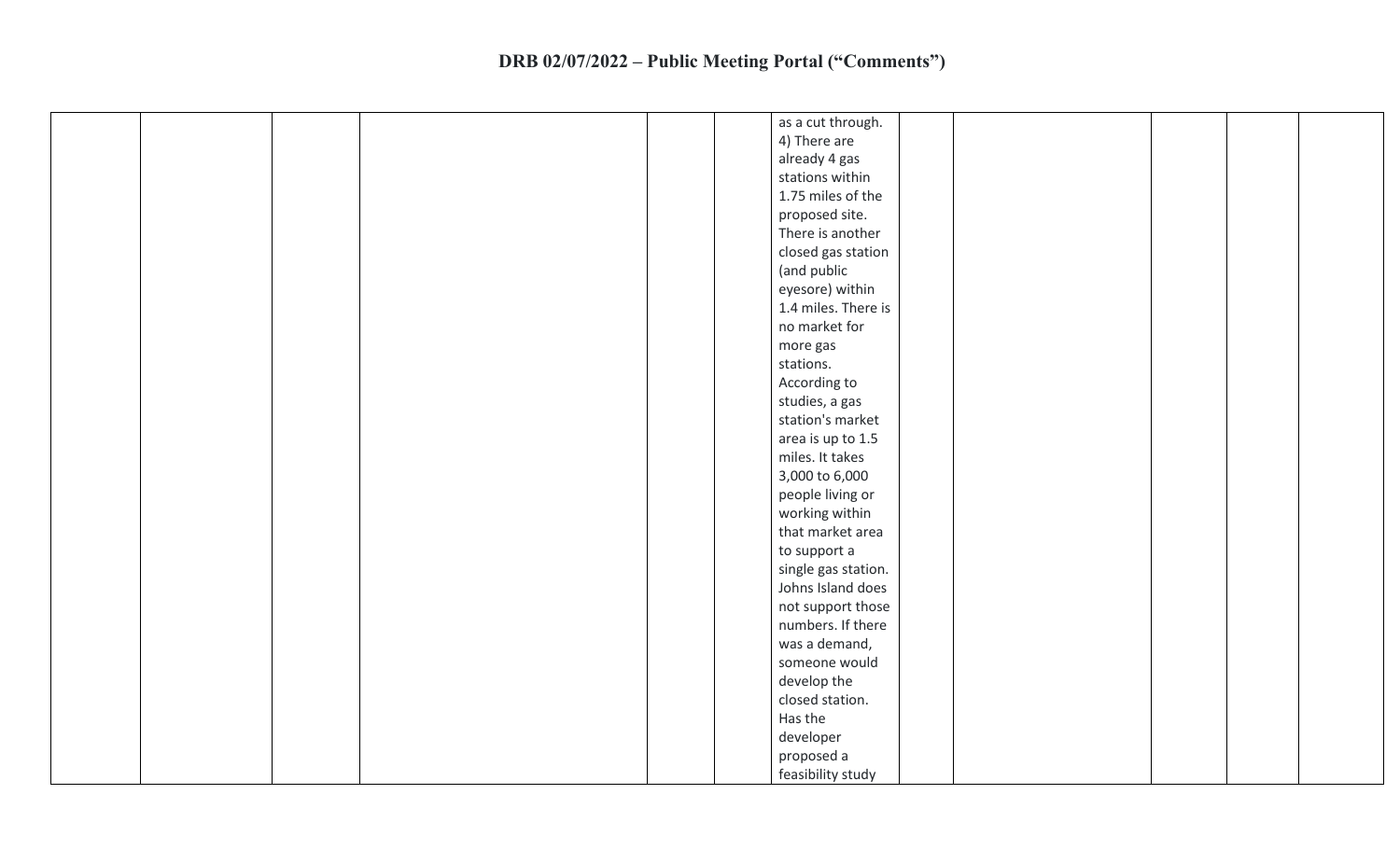|  | as a cut through.   |
|--|---------------------|
|  | 4) There are        |
|  | already 4 gas       |
|  | stations within     |
|  | 1.75 miles of the   |
|  | proposed site.      |
|  | There is another    |
|  | closed gas station  |
|  | (and public         |
|  | eyesore) within     |
|  | 1.4 miles. There is |
|  | no market for       |
|  | more gas            |
|  | stations.           |
|  | According to        |
|  | studies, a gas      |
|  | station's market    |
|  | area is up to 1.5   |
|  | miles. It takes     |
|  | 3,000 to 6,000      |
|  | people living or    |
|  | working within      |
|  | that market area    |
|  | to support a        |
|  | single gas station. |
|  | Johns Island does   |
|  | not support those   |
|  | numbers. If there   |
|  | was a demand,       |
|  | someone would       |
|  | develop the         |
|  | closed station.     |
|  | Has the             |
|  | developer           |
|  | proposed a          |
|  | feasibility study   |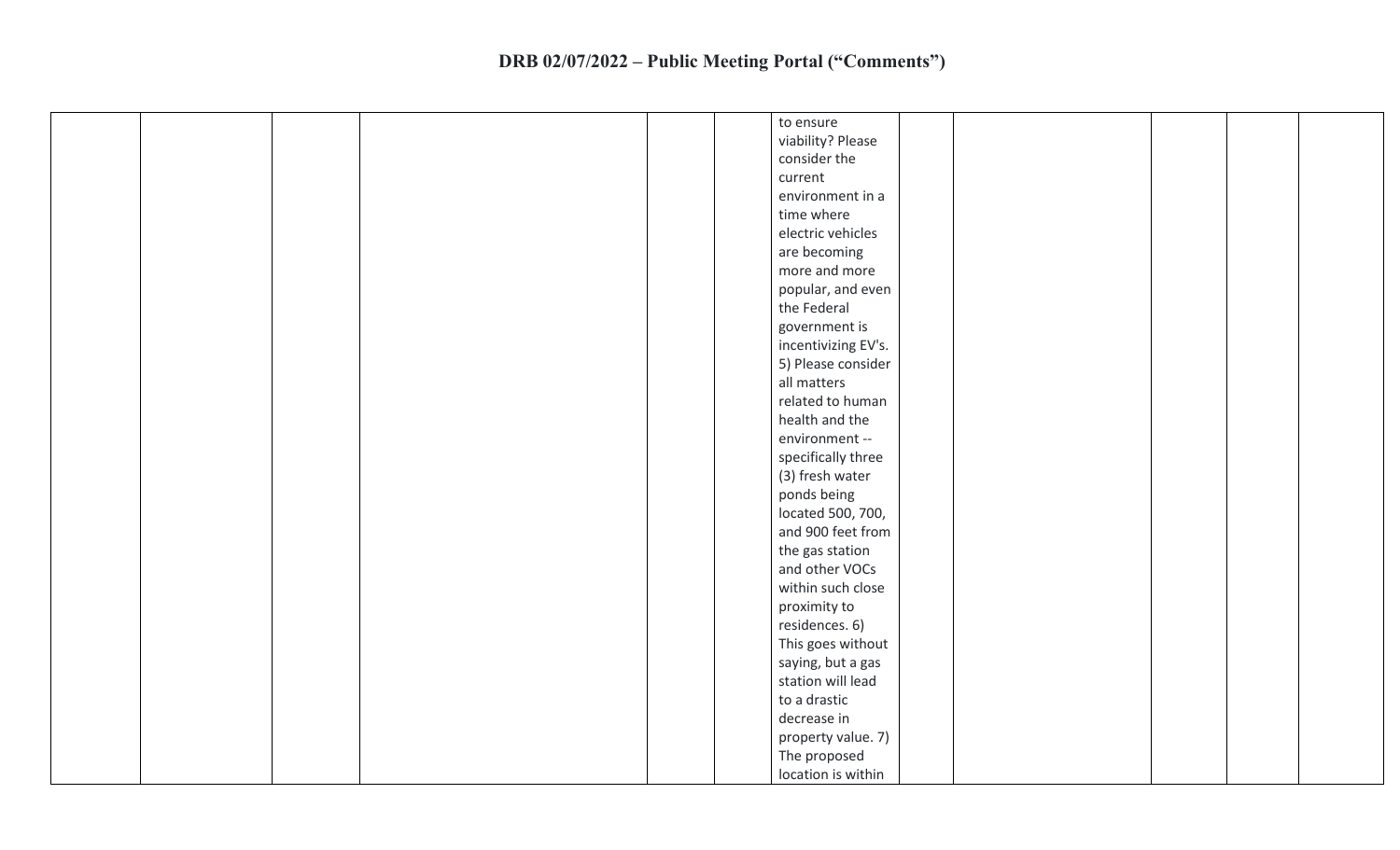|  |  | to ensure           |  |  |  |
|--|--|---------------------|--|--|--|
|  |  | viability? Please   |  |  |  |
|  |  | consider the        |  |  |  |
|  |  | current             |  |  |  |
|  |  | environment in a    |  |  |  |
|  |  | time where          |  |  |  |
|  |  | electric vehicles   |  |  |  |
|  |  | are becoming        |  |  |  |
|  |  | more and more       |  |  |  |
|  |  | popular, and even   |  |  |  |
|  |  | the Federal         |  |  |  |
|  |  | government is       |  |  |  |
|  |  | incentivizing EV's. |  |  |  |
|  |  | 5) Please consider  |  |  |  |
|  |  | all matters         |  |  |  |
|  |  | related to human    |  |  |  |
|  |  | health and the      |  |  |  |
|  |  | environment --      |  |  |  |
|  |  | specifically three  |  |  |  |
|  |  | (3) fresh water     |  |  |  |
|  |  | ponds being         |  |  |  |
|  |  | located 500, 700,   |  |  |  |
|  |  | and 900 feet from   |  |  |  |
|  |  | the gas station     |  |  |  |
|  |  | and other VOCs      |  |  |  |
|  |  | within such close   |  |  |  |
|  |  | proximity to        |  |  |  |
|  |  | residences. 6)      |  |  |  |
|  |  | This goes without   |  |  |  |
|  |  | saying, but a gas   |  |  |  |
|  |  | station will lead   |  |  |  |
|  |  | to a drastic        |  |  |  |
|  |  | decrease in         |  |  |  |
|  |  | property value. 7)  |  |  |  |
|  |  | The proposed        |  |  |  |
|  |  | location is within  |  |  |  |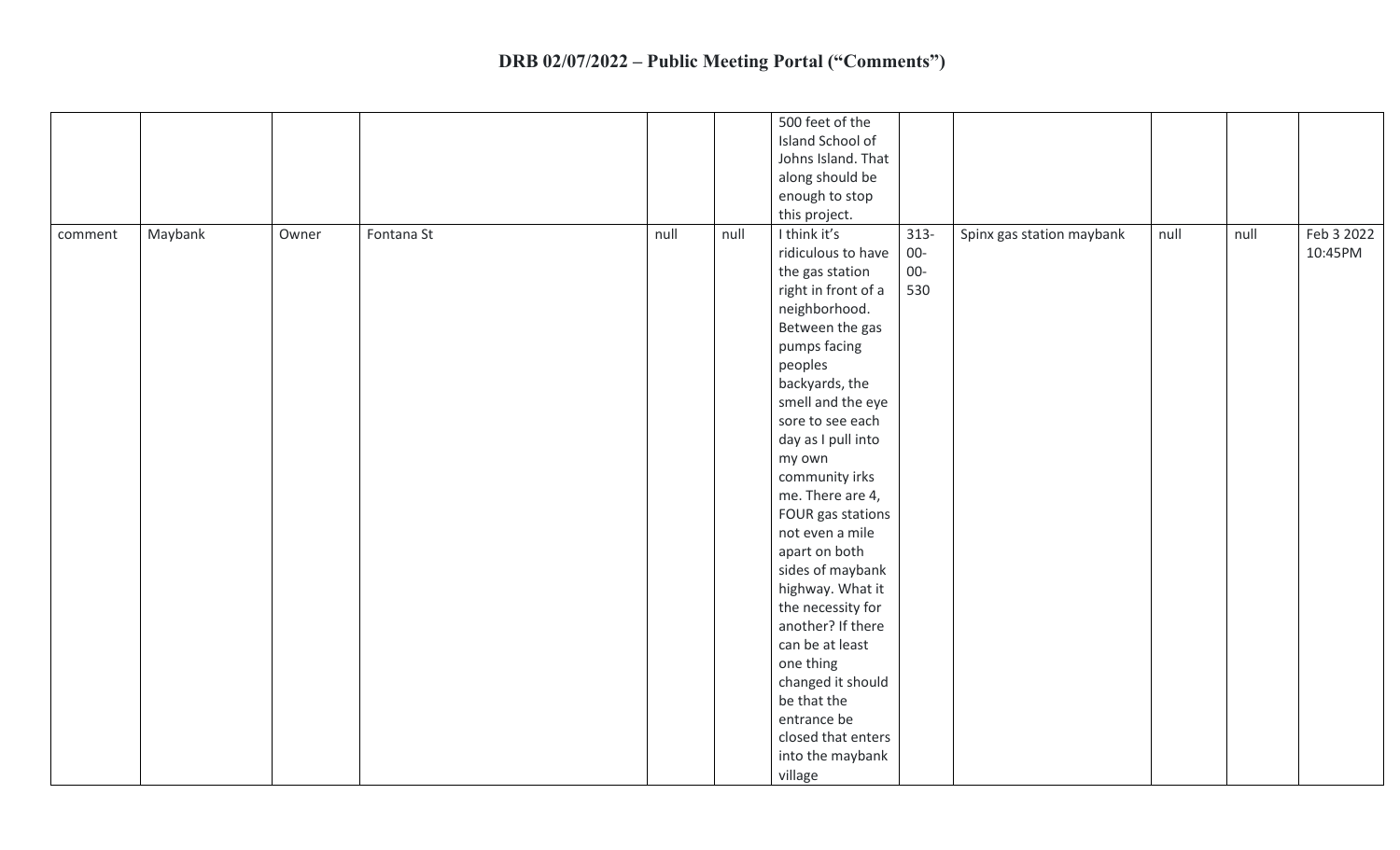|         |         |       |            |      |      | 500 feet of the     |         |                           |      |      |            |
|---------|---------|-------|------------|------|------|---------------------|---------|---------------------------|------|------|------------|
|         |         |       |            |      |      | Island School of    |         |                           |      |      |            |
|         |         |       |            |      |      | Johns Island. That  |         |                           |      |      |            |
|         |         |       |            |      |      | along should be     |         |                           |      |      |            |
|         |         |       |            |      |      | enough to stop      |         |                           |      |      |            |
|         |         |       |            |      |      | this project.       |         |                           |      |      |            |
| comment | Maybank | Owner | Fontana St | null | null | I think it's        | $313 -$ | Spinx gas station maybank | null | null | Feb 3 2022 |
|         |         |       |            |      |      | ridiculous to have  | $00-$   |                           |      |      | 10:45PM    |
|         |         |       |            |      |      | the gas station     | $00-$   |                           |      |      |            |
|         |         |       |            |      |      | right in front of a | 530     |                           |      |      |            |
|         |         |       |            |      |      | neighborhood.       |         |                           |      |      |            |
|         |         |       |            |      |      |                     |         |                           |      |      |            |
|         |         |       |            |      |      | Between the gas     |         |                           |      |      |            |
|         |         |       |            |      |      | pumps facing        |         |                           |      |      |            |
|         |         |       |            |      |      | peoples             |         |                           |      |      |            |
|         |         |       |            |      |      | backyards, the      |         |                           |      |      |            |
|         |         |       |            |      |      | smell and the eye   |         |                           |      |      |            |
|         |         |       |            |      |      | sore to see each    |         |                           |      |      |            |
|         |         |       |            |      |      | day as I pull into  |         |                           |      |      |            |
|         |         |       |            |      |      | my own              |         |                           |      |      |            |
|         |         |       |            |      |      | community irks      |         |                           |      |      |            |
|         |         |       |            |      |      | me. There are 4,    |         |                           |      |      |            |
|         |         |       |            |      |      | FOUR gas stations   |         |                           |      |      |            |
|         |         |       |            |      |      | not even a mile     |         |                           |      |      |            |
|         |         |       |            |      |      | apart on both       |         |                           |      |      |            |
|         |         |       |            |      |      | sides of maybank    |         |                           |      |      |            |
|         |         |       |            |      |      | highway. What it    |         |                           |      |      |            |
|         |         |       |            |      |      | the necessity for   |         |                           |      |      |            |
|         |         |       |            |      |      | another? If there   |         |                           |      |      |            |
|         |         |       |            |      |      | can be at least     |         |                           |      |      |            |
|         |         |       |            |      |      | one thing           |         |                           |      |      |            |
|         |         |       |            |      |      | changed it should   |         |                           |      |      |            |
|         |         |       |            |      |      | be that the         |         |                           |      |      |            |
|         |         |       |            |      |      | entrance be         |         |                           |      |      |            |
|         |         |       |            |      |      | closed that enters  |         |                           |      |      |            |
|         |         |       |            |      |      | into the maybank    |         |                           |      |      |            |
|         |         |       |            |      |      | village             |         |                           |      |      |            |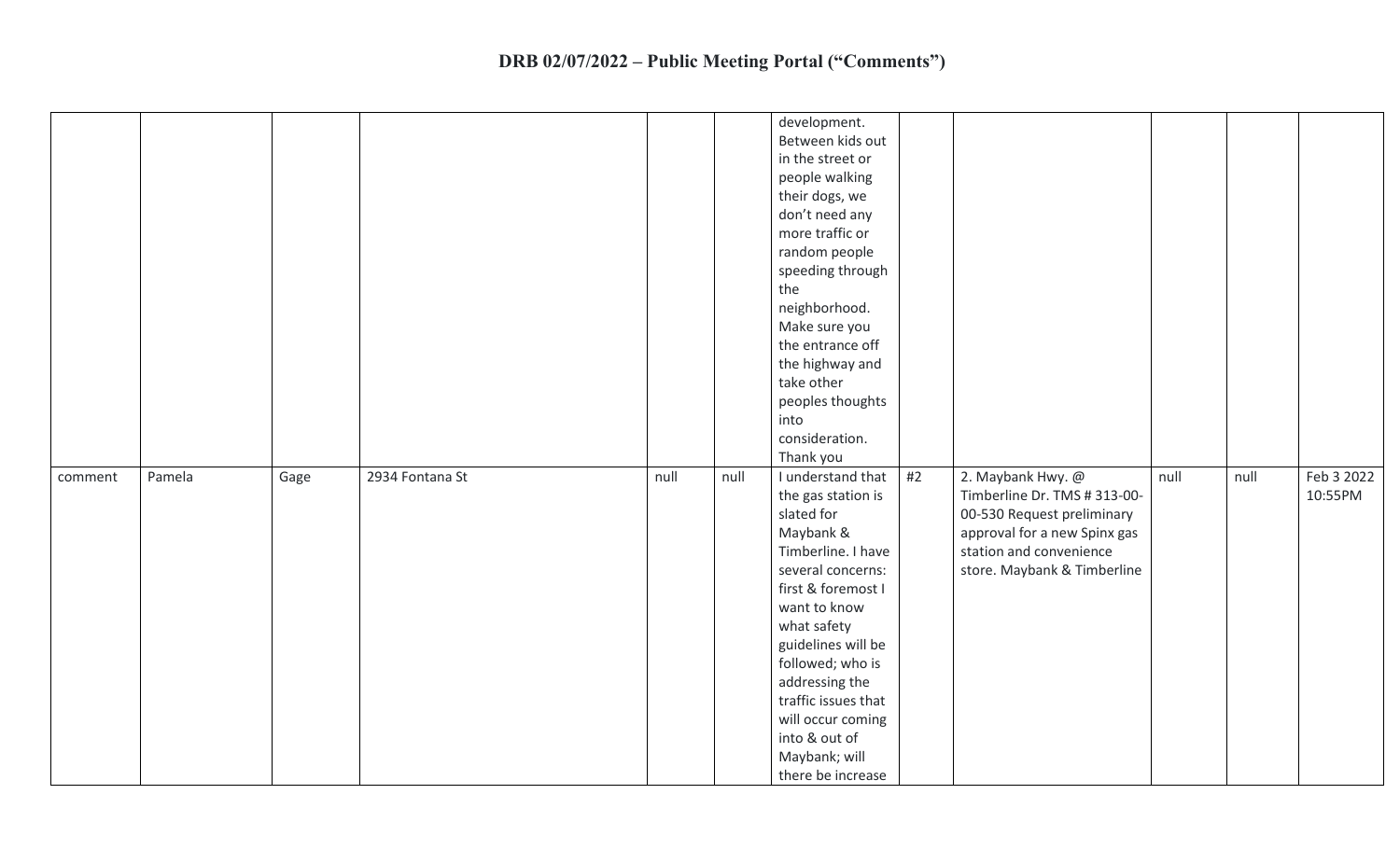|         |        |      |                 |      |      | development.<br>Between kids out<br>in the street or<br>people walking<br>their dogs, we<br>don't need any<br>more traffic or<br>random people<br>speeding through<br>the<br>neighborhood.<br>Make sure you<br>the entrance off<br>the highway and<br>take other<br>peoples thoughts<br>into<br>consideration.<br>Thank you       |    |                                                                                                                                                                           |      |      |                       |
|---------|--------|------|-----------------|------|------|-----------------------------------------------------------------------------------------------------------------------------------------------------------------------------------------------------------------------------------------------------------------------------------------------------------------------------------|----|---------------------------------------------------------------------------------------------------------------------------------------------------------------------------|------|------|-----------------------|
| comment | Pamela | Gage | 2934 Fontana St | null | null | I understand that<br>the gas station is<br>slated for<br>Maybank &<br>Timberline. I have<br>several concerns:<br>first & foremost I<br>want to know<br>what safety<br>guidelines will be<br>followed; who is<br>addressing the<br>traffic issues that<br>will occur coming<br>into & out of<br>Maybank; will<br>there be increase | #2 | 2. Maybank Hwy. @<br>Timberline Dr. TMS # 313-00-<br>00-530 Request preliminary<br>approval for a new Spinx gas<br>station and convenience<br>store. Maybank & Timberline | null | null | Feb 3 2022<br>10:55PM |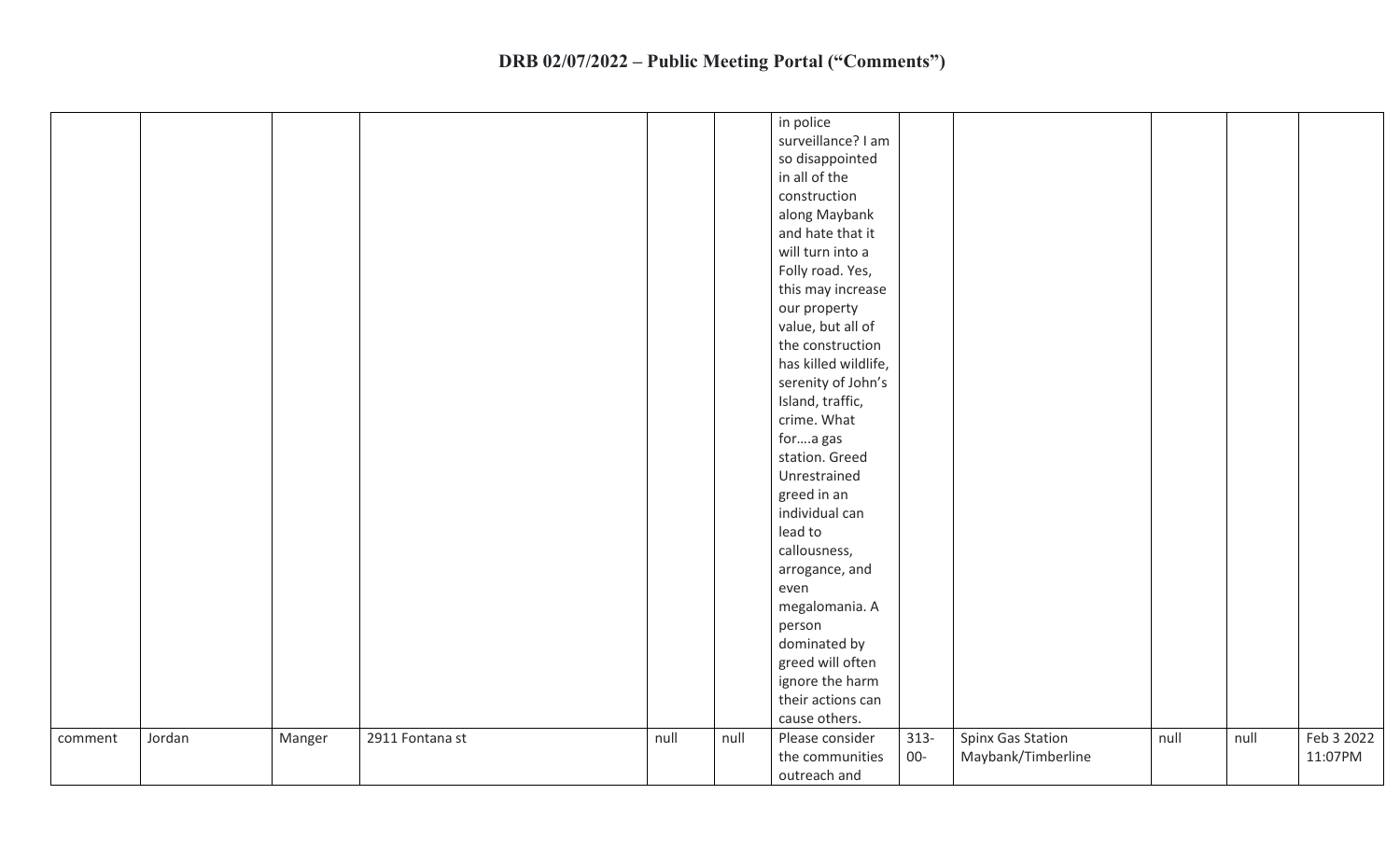|                   |        |                 |      |      | in police                  |         |                    |      |      |            |
|-------------------|--------|-----------------|------|------|----------------------------|---------|--------------------|------|------|------------|
|                   |        |                 |      |      | surveillance? I am         |         |                    |      |      |            |
|                   |        |                 |      |      | so disappointed            |         |                    |      |      |            |
|                   |        |                 |      |      | in all of the              |         |                    |      |      |            |
|                   |        |                 |      |      | construction               |         |                    |      |      |            |
|                   |        |                 |      |      | along Maybank              |         |                    |      |      |            |
|                   |        |                 |      |      | and hate that it           |         |                    |      |      |            |
|                   |        |                 |      |      | will turn into a           |         |                    |      |      |            |
|                   |        |                 |      |      | Folly road. Yes,           |         |                    |      |      |            |
|                   |        |                 |      |      | this may increase          |         |                    |      |      |            |
|                   |        |                 |      |      | our property               |         |                    |      |      |            |
|                   |        |                 |      |      | value, but all of          |         |                    |      |      |            |
|                   |        |                 |      |      | the construction           |         |                    |      |      |            |
|                   |        |                 |      |      | has killed wildlife,       |         |                    |      |      |            |
|                   |        |                 |      |      | serenity of John's         |         |                    |      |      |            |
|                   |        |                 |      |      | Island, traffic,           |         |                    |      |      |            |
|                   |        |                 |      |      | crime. What                |         |                    |      |      |            |
|                   |        |                 |      |      |                            |         |                    |      |      |            |
|                   |        |                 |      |      | fora gas<br>station. Greed |         |                    |      |      |            |
|                   |        |                 |      |      |                            |         |                    |      |      |            |
|                   |        |                 |      |      | Unrestrained               |         |                    |      |      |            |
|                   |        |                 |      |      | greed in an                |         |                    |      |      |            |
|                   |        |                 |      |      | individual can             |         |                    |      |      |            |
|                   |        |                 |      |      | lead to                    |         |                    |      |      |            |
|                   |        |                 |      |      | callousness,               |         |                    |      |      |            |
|                   |        |                 |      |      | arrogance, and             |         |                    |      |      |            |
|                   |        |                 |      |      | even                       |         |                    |      |      |            |
|                   |        |                 |      |      | megalomania. A             |         |                    |      |      |            |
|                   |        |                 |      |      | person                     |         |                    |      |      |            |
|                   |        |                 |      |      | dominated by               |         |                    |      |      |            |
|                   |        |                 |      |      | greed will often           |         |                    |      |      |            |
|                   |        |                 |      |      | ignore the harm            |         |                    |      |      |            |
|                   |        |                 |      |      | their actions can          |         |                    |      |      |            |
|                   |        |                 |      |      | cause others.              |         |                    |      |      |            |
| Jordan<br>comment | Manger | 2911 Fontana st | null | null | Please consider            | $313 -$ | Spinx Gas Station  | null | null | Feb 3 2022 |
|                   |        |                 |      |      | the communities            | $00-$   | Maybank/Timberline |      |      | 11:07PM    |
|                   |        |                 |      |      | outreach and               |         |                    |      |      |            |
|                   |        |                 |      |      |                            |         |                    |      |      |            |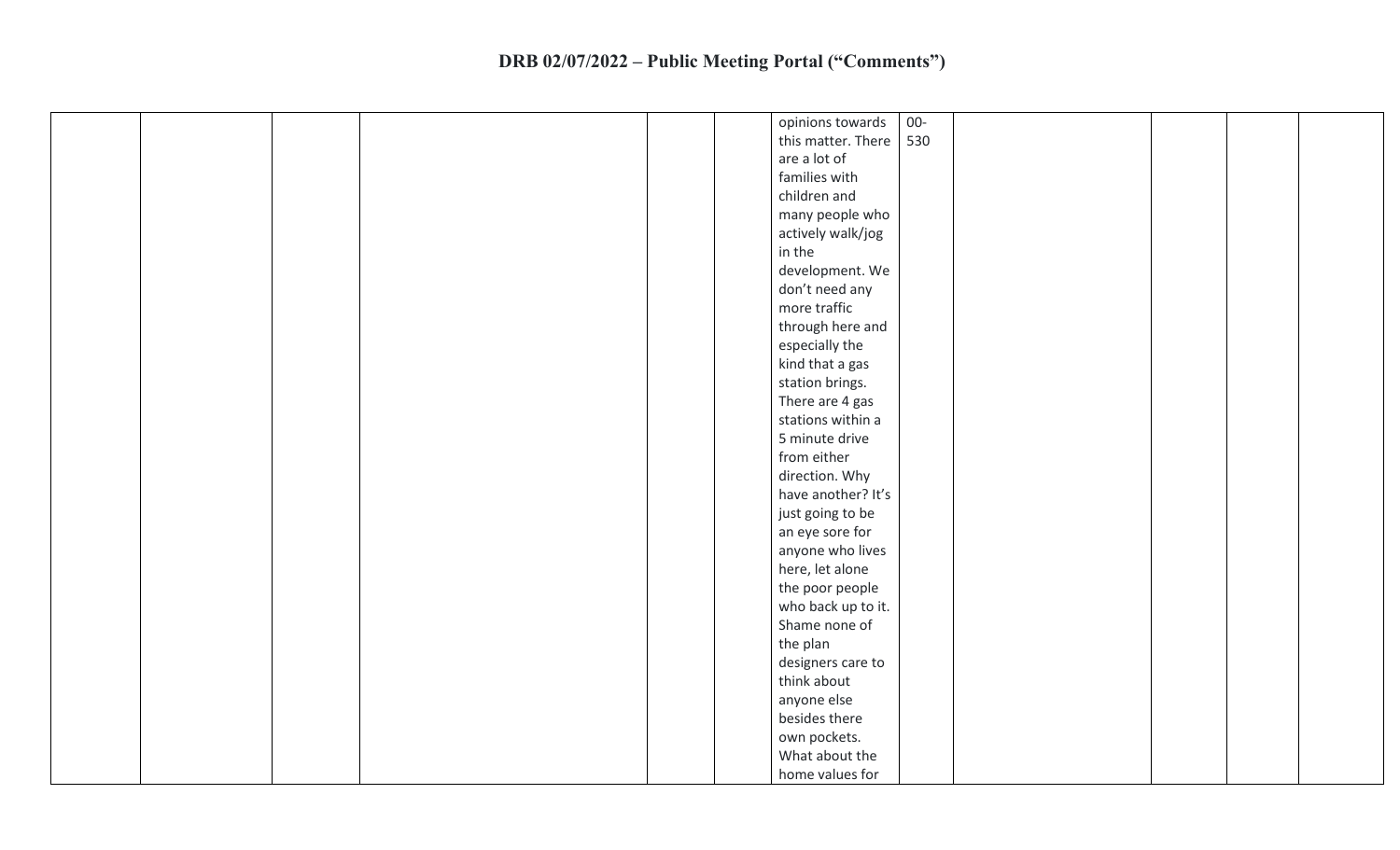| $00-$<br>opinions towards |
|---------------------------|
| this matter. There<br>530 |
| are a lot of              |
| families with             |
| children and              |
| many people who           |
| actively walk/jog         |
| in the                    |
| development. We           |
| don't need any            |
| more traffic              |
| through here and          |
| especially the            |
| kind that a gas           |
| station brings.           |
| There are 4 gas           |
| stations within a         |
| 5 minute drive            |
| from either               |
| direction. Why            |
| have another? It's        |
| just going to be          |
| an eye sore for           |
| anyone who lives          |
| here, let alone           |
| the poor people           |
| who back up to it.        |
| Shame none of             |
| the plan                  |
| designers care to         |
| think about               |
| anyone else               |
| besides there             |
| own pockets.              |
| What about the            |
| home values for           |
|                           |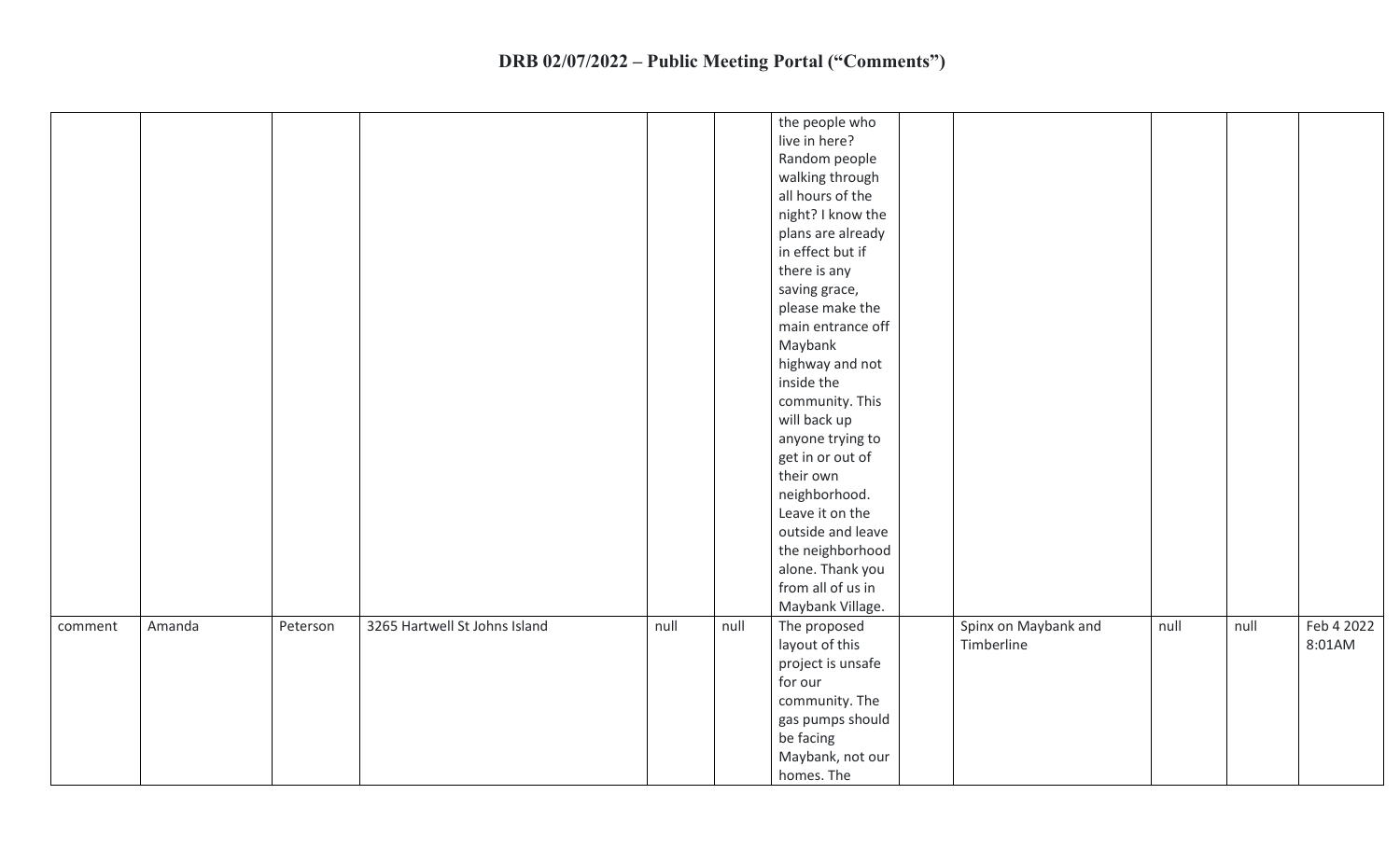|         |        |          |                               |      |      | the people who    |                      |      |      |            |
|---------|--------|----------|-------------------------------|------|------|-------------------|----------------------|------|------|------------|
|         |        |          |                               |      |      | live in here?     |                      |      |      |            |
|         |        |          |                               |      |      | Random people     |                      |      |      |            |
|         |        |          |                               |      |      | walking through   |                      |      |      |            |
|         |        |          |                               |      |      | all hours of the  |                      |      |      |            |
|         |        |          |                               |      |      | night? I know the |                      |      |      |            |
|         |        |          |                               |      |      | plans are already |                      |      |      |            |
|         |        |          |                               |      |      | in effect but if  |                      |      |      |            |
|         |        |          |                               |      |      | there is any      |                      |      |      |            |
|         |        |          |                               |      |      | saving grace,     |                      |      |      |            |
|         |        |          |                               |      |      | please make the   |                      |      |      |            |
|         |        |          |                               |      |      | main entrance off |                      |      |      |            |
|         |        |          |                               |      |      | Maybank           |                      |      |      |            |
|         |        |          |                               |      |      | highway and not   |                      |      |      |            |
|         |        |          |                               |      |      | inside the        |                      |      |      |            |
|         |        |          |                               |      |      | community. This   |                      |      |      |            |
|         |        |          |                               |      |      | will back up      |                      |      |      |            |
|         |        |          |                               |      |      | anyone trying to  |                      |      |      |            |
|         |        |          |                               |      |      | get in or out of  |                      |      |      |            |
|         |        |          |                               |      |      | their own         |                      |      |      |            |
|         |        |          |                               |      |      | neighborhood.     |                      |      |      |            |
|         |        |          |                               |      |      | Leave it on the   |                      |      |      |            |
|         |        |          |                               |      |      | outside and leave |                      |      |      |            |
|         |        |          |                               |      |      | the neighborhood  |                      |      |      |            |
|         |        |          |                               |      |      | alone. Thank you  |                      |      |      |            |
|         |        |          |                               |      |      | from all of us in |                      |      |      |            |
|         |        |          |                               |      |      | Maybank Village.  |                      |      |      |            |
| comment | Amanda | Peterson | 3265 Hartwell St Johns Island | null | null | The proposed      | Spinx on Maybank and | null | null | Feb 4 2022 |
|         |        |          |                               |      |      | layout of this    | Timberline           |      |      | 8:01AM     |
|         |        |          |                               |      |      | project is unsafe |                      |      |      |            |
|         |        |          |                               |      |      | for our           |                      |      |      |            |
|         |        |          |                               |      |      | community. The    |                      |      |      |            |
|         |        |          |                               |      |      | gas pumps should  |                      |      |      |            |
|         |        |          |                               |      |      | be facing         |                      |      |      |            |
|         |        |          |                               |      |      | Maybank, not our  |                      |      |      |            |
|         |        |          |                               |      |      | homes. The        |                      |      |      |            |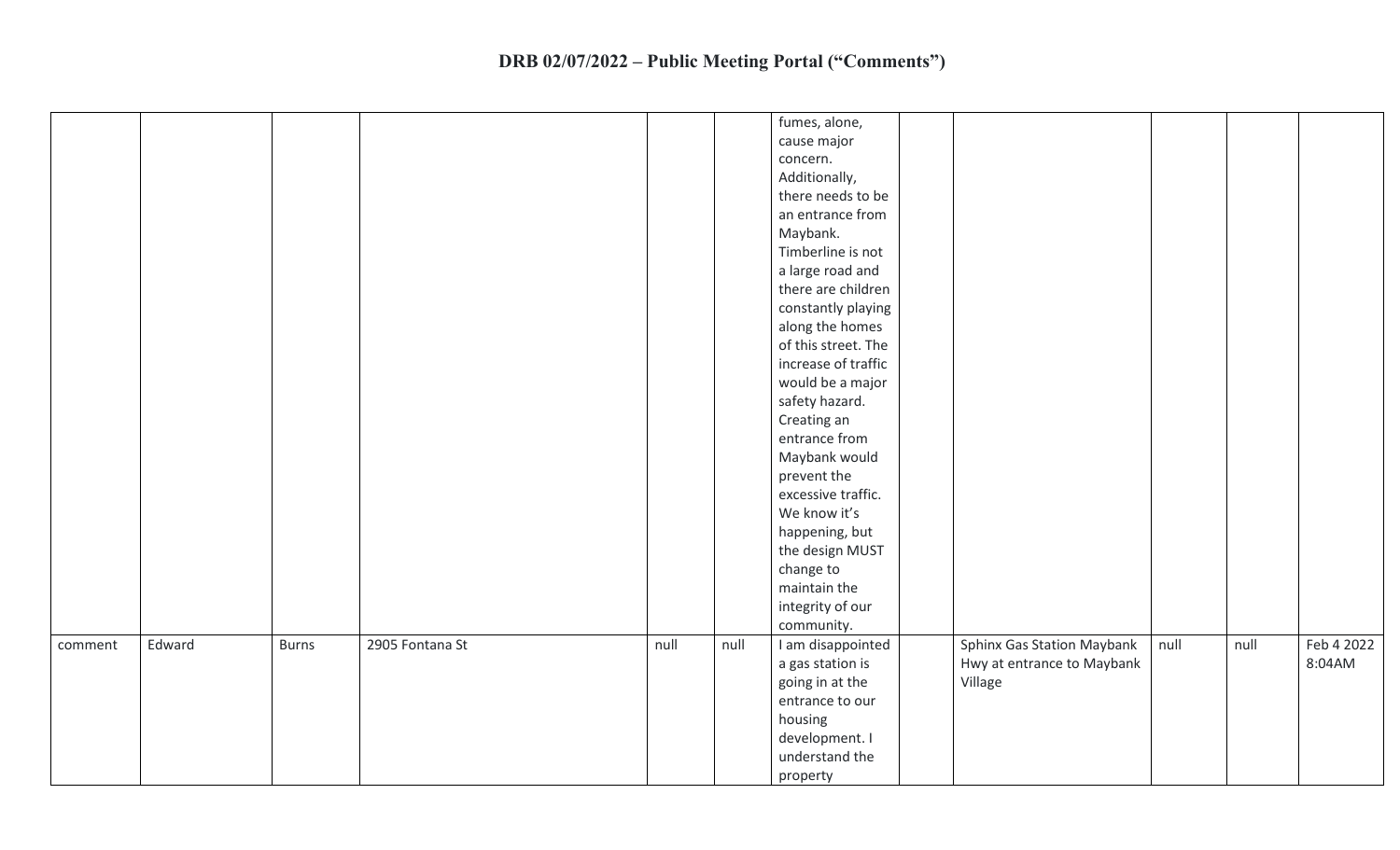|         |        |              |                 |      |      | fumes, alone,<br>cause major<br>concern.<br>Additionally,<br>there needs to be<br>an entrance from<br>Maybank.<br>Timberline is not<br>a large road and<br>there are children<br>constantly playing<br>along the homes<br>of this street. The<br>increase of traffic<br>would be a major<br>safety hazard.<br>Creating an<br>entrance from<br>Maybank would<br>prevent the<br>excessive traffic.<br>We know it's<br>happening, but<br>the design MUST<br>change to<br>maintain the<br>integrity of our |                                                                     |      |      |                      |
|---------|--------|--------------|-----------------|------|------|--------------------------------------------------------------------------------------------------------------------------------------------------------------------------------------------------------------------------------------------------------------------------------------------------------------------------------------------------------------------------------------------------------------------------------------------------------------------------------------------------------|---------------------------------------------------------------------|------|------|----------------------|
| comment | Edward | <b>Burns</b> | 2905 Fontana St | null | null | community.<br>I am disappointed<br>a gas station is<br>going in at the<br>entrance to our<br>housing<br>development. I<br>understand the<br>property                                                                                                                                                                                                                                                                                                                                                   | Sphinx Gas Station Maybank<br>Hwy at entrance to Maybank<br>Village | null | null | Feb 4 2022<br>8:04AM |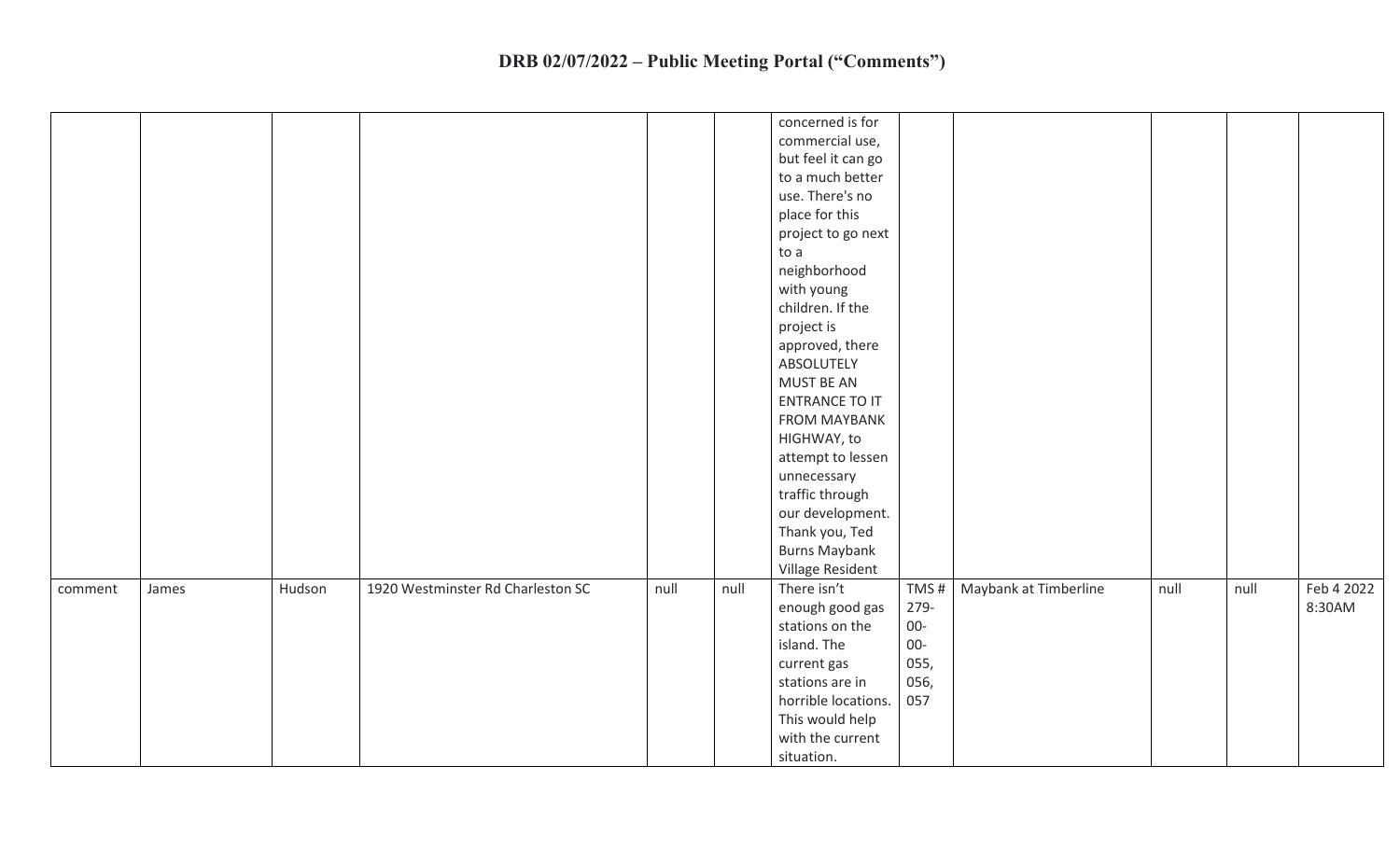| concerned is for<br>commercial use,<br>but feel it can go<br>to a much better<br>use. There's no<br>place for this<br>project to go next<br>to a<br>neighborhood<br>with young<br>children. If the<br>project is<br>approved, there<br>ABSOLUTELY<br>MUST BE AN<br><b>ENTRANCE TO IT</b><br><b>FROM MAYBANK</b><br>HIGHWAY, to<br>attempt to lessen<br>unnecessary<br>traffic through<br>our development.<br>Thank you, Ted<br><b>Burns Maybank</b><br>Village Resident<br>1920 Westminster Rd Charleston SC<br>There isn't<br>Maybank at Timberline<br>Hudson<br>null<br>null<br>TMS#<br>null<br>null<br>comment<br>James<br>8:30AM<br>enough good gas<br>279-<br>stations on the<br>$00-$<br>island. The<br>$00-$<br>055,<br>current gas<br>056,<br>stations are in<br>horrible locations.<br>057<br>This would help<br>with the current<br>situation. |  |  |  |  |  |  |
|----------------------------------------------------------------------------------------------------------------------------------------------------------------------------------------------------------------------------------------------------------------------------------------------------------------------------------------------------------------------------------------------------------------------------------------------------------------------------------------------------------------------------------------------------------------------------------------------------------------------------------------------------------------------------------------------------------------------------------------------------------------------------------------------------------------------------------------------------------|--|--|--|--|--|--|
| Feb 4 2022                                                                                                                                                                                                                                                                                                                                                                                                                                                                                                                                                                                                                                                                                                                                                                                                                                               |  |  |  |  |  |  |
|                                                                                                                                                                                                                                                                                                                                                                                                                                                                                                                                                                                                                                                                                                                                                                                                                                                          |  |  |  |  |  |  |
|                                                                                                                                                                                                                                                                                                                                                                                                                                                                                                                                                                                                                                                                                                                                                                                                                                                          |  |  |  |  |  |  |
|                                                                                                                                                                                                                                                                                                                                                                                                                                                                                                                                                                                                                                                                                                                                                                                                                                                          |  |  |  |  |  |  |
|                                                                                                                                                                                                                                                                                                                                                                                                                                                                                                                                                                                                                                                                                                                                                                                                                                                          |  |  |  |  |  |  |
|                                                                                                                                                                                                                                                                                                                                                                                                                                                                                                                                                                                                                                                                                                                                                                                                                                                          |  |  |  |  |  |  |
|                                                                                                                                                                                                                                                                                                                                                                                                                                                                                                                                                                                                                                                                                                                                                                                                                                                          |  |  |  |  |  |  |
|                                                                                                                                                                                                                                                                                                                                                                                                                                                                                                                                                                                                                                                                                                                                                                                                                                                          |  |  |  |  |  |  |
|                                                                                                                                                                                                                                                                                                                                                                                                                                                                                                                                                                                                                                                                                                                                                                                                                                                          |  |  |  |  |  |  |
|                                                                                                                                                                                                                                                                                                                                                                                                                                                                                                                                                                                                                                                                                                                                                                                                                                                          |  |  |  |  |  |  |
|                                                                                                                                                                                                                                                                                                                                                                                                                                                                                                                                                                                                                                                                                                                                                                                                                                                          |  |  |  |  |  |  |
|                                                                                                                                                                                                                                                                                                                                                                                                                                                                                                                                                                                                                                                                                                                                                                                                                                                          |  |  |  |  |  |  |
|                                                                                                                                                                                                                                                                                                                                                                                                                                                                                                                                                                                                                                                                                                                                                                                                                                                          |  |  |  |  |  |  |
|                                                                                                                                                                                                                                                                                                                                                                                                                                                                                                                                                                                                                                                                                                                                                                                                                                                          |  |  |  |  |  |  |
|                                                                                                                                                                                                                                                                                                                                                                                                                                                                                                                                                                                                                                                                                                                                                                                                                                                          |  |  |  |  |  |  |
|                                                                                                                                                                                                                                                                                                                                                                                                                                                                                                                                                                                                                                                                                                                                                                                                                                                          |  |  |  |  |  |  |
|                                                                                                                                                                                                                                                                                                                                                                                                                                                                                                                                                                                                                                                                                                                                                                                                                                                          |  |  |  |  |  |  |
|                                                                                                                                                                                                                                                                                                                                                                                                                                                                                                                                                                                                                                                                                                                                                                                                                                                          |  |  |  |  |  |  |
|                                                                                                                                                                                                                                                                                                                                                                                                                                                                                                                                                                                                                                                                                                                                                                                                                                                          |  |  |  |  |  |  |
|                                                                                                                                                                                                                                                                                                                                                                                                                                                                                                                                                                                                                                                                                                                                                                                                                                                          |  |  |  |  |  |  |
|                                                                                                                                                                                                                                                                                                                                                                                                                                                                                                                                                                                                                                                                                                                                                                                                                                                          |  |  |  |  |  |  |
|                                                                                                                                                                                                                                                                                                                                                                                                                                                                                                                                                                                                                                                                                                                                                                                                                                                          |  |  |  |  |  |  |
|                                                                                                                                                                                                                                                                                                                                                                                                                                                                                                                                                                                                                                                                                                                                                                                                                                                          |  |  |  |  |  |  |
|                                                                                                                                                                                                                                                                                                                                                                                                                                                                                                                                                                                                                                                                                                                                                                                                                                                          |  |  |  |  |  |  |
|                                                                                                                                                                                                                                                                                                                                                                                                                                                                                                                                                                                                                                                                                                                                                                                                                                                          |  |  |  |  |  |  |
|                                                                                                                                                                                                                                                                                                                                                                                                                                                                                                                                                                                                                                                                                                                                                                                                                                                          |  |  |  |  |  |  |
|                                                                                                                                                                                                                                                                                                                                                                                                                                                                                                                                                                                                                                                                                                                                                                                                                                                          |  |  |  |  |  |  |
|                                                                                                                                                                                                                                                                                                                                                                                                                                                                                                                                                                                                                                                                                                                                                                                                                                                          |  |  |  |  |  |  |
|                                                                                                                                                                                                                                                                                                                                                                                                                                                                                                                                                                                                                                                                                                                                                                                                                                                          |  |  |  |  |  |  |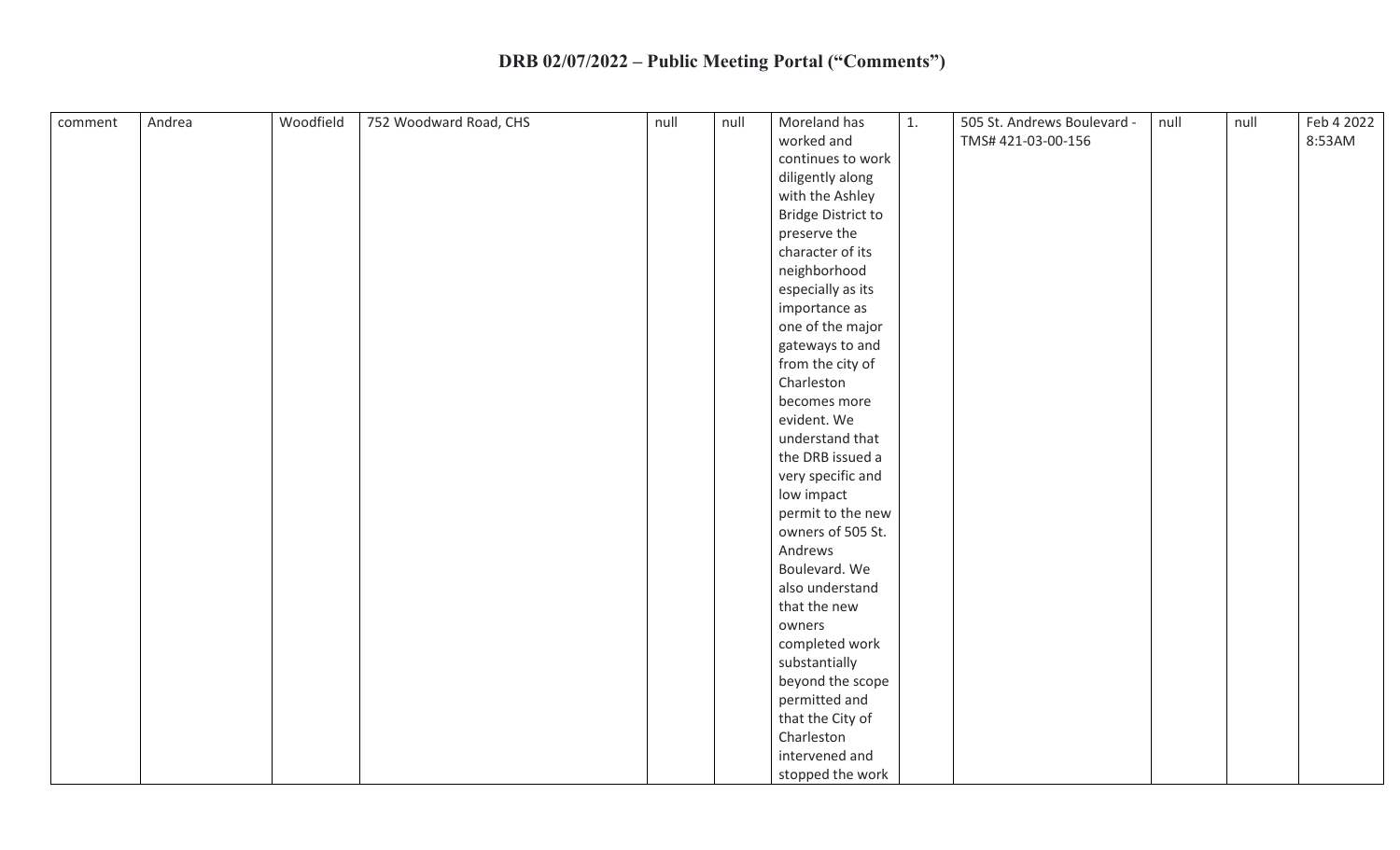| comment | Andrea | Woodfield | 752 Woodward Road, CHS | null | null | Moreland has              | 1. | 505 St. Andrews Boulevard - | null | null | Feb 4 2022 |
|---------|--------|-----------|------------------------|------|------|---------------------------|----|-----------------------------|------|------|------------|
|         |        |           |                        |      |      | worked and                |    | TMS#421-03-00-156           |      |      | 8:53AM     |
|         |        |           |                        |      |      | continues to work         |    |                             |      |      |            |
|         |        |           |                        |      |      | diligently along          |    |                             |      |      |            |
|         |        |           |                        |      |      | with the Ashley           |    |                             |      |      |            |
|         |        |           |                        |      |      | <b>Bridge District to</b> |    |                             |      |      |            |
|         |        |           |                        |      |      | preserve the              |    |                             |      |      |            |
|         |        |           |                        |      |      | character of its          |    |                             |      |      |            |
|         |        |           |                        |      |      | neighborhood              |    |                             |      |      |            |
|         |        |           |                        |      |      | especially as its         |    |                             |      |      |            |
|         |        |           |                        |      |      | importance as             |    |                             |      |      |            |
|         |        |           |                        |      |      | one of the major          |    |                             |      |      |            |
|         |        |           |                        |      |      | gateways to and           |    |                             |      |      |            |
|         |        |           |                        |      |      | from the city of          |    |                             |      |      |            |
|         |        |           |                        |      |      | Charleston                |    |                             |      |      |            |
|         |        |           |                        |      |      | becomes more              |    |                             |      |      |            |
|         |        |           |                        |      |      | evident. We               |    |                             |      |      |            |
|         |        |           |                        |      |      | understand that           |    |                             |      |      |            |
|         |        |           |                        |      |      | the DRB issued a          |    |                             |      |      |            |
|         |        |           |                        |      |      | very specific and         |    |                             |      |      |            |
|         |        |           |                        |      |      | low impact                |    |                             |      |      |            |
|         |        |           |                        |      |      | permit to the new         |    |                             |      |      |            |
|         |        |           |                        |      |      | owners of 505 St.         |    |                             |      |      |            |
|         |        |           |                        |      |      | Andrews                   |    |                             |      |      |            |
|         |        |           |                        |      |      | Boulevard. We             |    |                             |      |      |            |
|         |        |           |                        |      |      | also understand           |    |                             |      |      |            |
|         |        |           |                        |      |      | that the new              |    |                             |      |      |            |
|         |        |           |                        |      |      | owners                    |    |                             |      |      |            |
|         |        |           |                        |      |      | completed work            |    |                             |      |      |            |
|         |        |           |                        |      |      | substantially             |    |                             |      |      |            |
|         |        |           |                        |      |      |                           |    |                             |      |      |            |
|         |        |           |                        |      |      | beyond the scope          |    |                             |      |      |            |
|         |        |           |                        |      |      | permitted and             |    |                             |      |      |            |
|         |        |           |                        |      |      | that the City of          |    |                             |      |      |            |
|         |        |           |                        |      |      | Charleston                |    |                             |      |      |            |
|         |        |           |                        |      |      | intervened and            |    |                             |      |      |            |
|         |        |           |                        |      |      | stopped the work          |    |                             |      |      |            |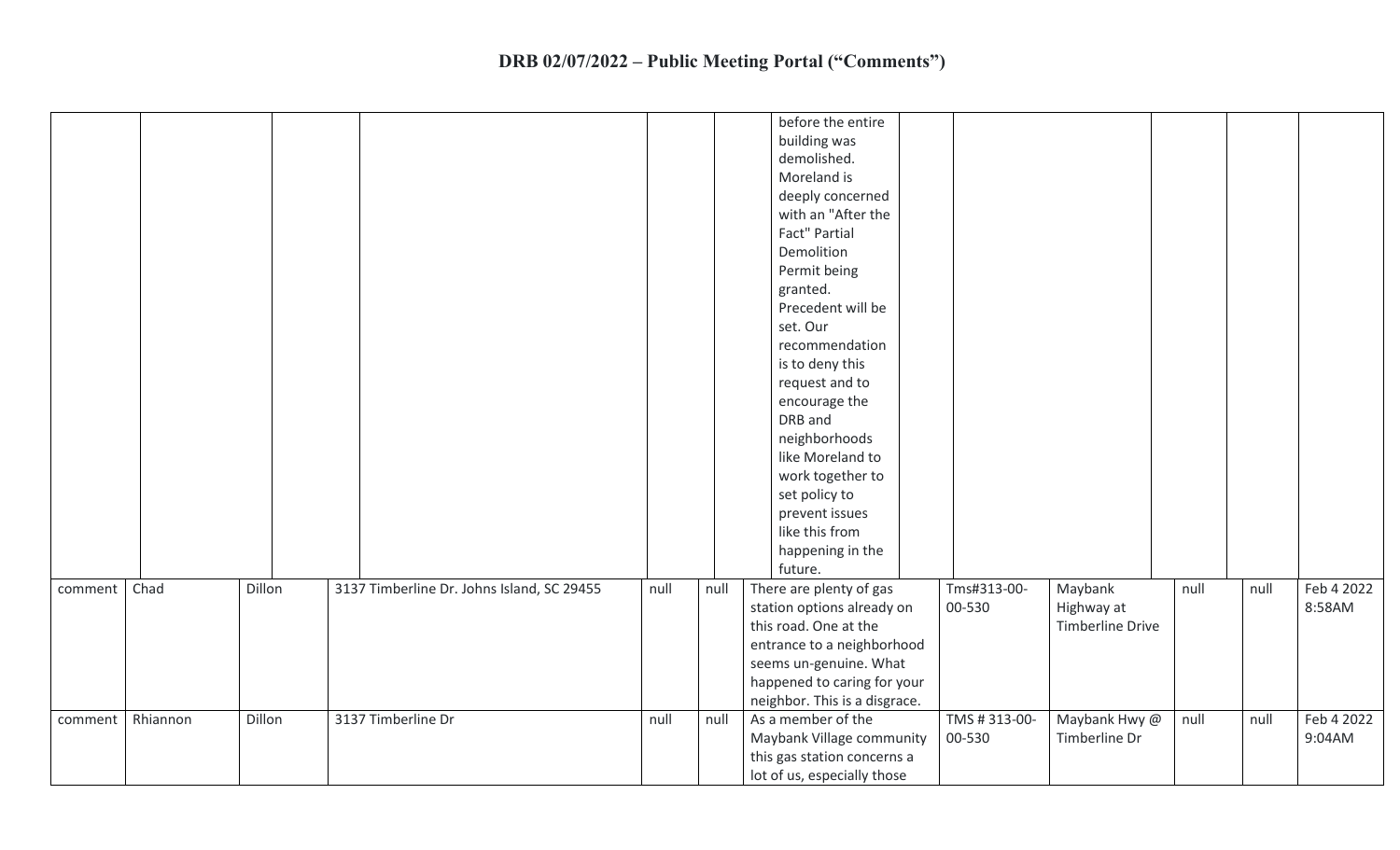|         |          |        |                                            |      |      | before the entire<br>building was<br>demolished.<br>Moreland is<br>deeply concerned<br>with an "After the<br>Fact" Partial<br>Demolition<br>Permit being<br>granted.<br>Precedent will be<br>set. Our<br>recommendation<br>is to deny this<br>request and to<br>encourage the<br>DRB and<br>neighborhoods<br>like Moreland to<br>work together to<br>set policy to<br>prevent issues<br>like this from<br>happening in the<br>future. |                        |                                                  |      |      |                      |
|---------|----------|--------|--------------------------------------------|------|------|---------------------------------------------------------------------------------------------------------------------------------------------------------------------------------------------------------------------------------------------------------------------------------------------------------------------------------------------------------------------------------------------------------------------------------------|------------------------|--------------------------------------------------|------|------|----------------------|
| comment | Chad     | Dillon | 3137 Timberline Dr. Johns Island, SC 29455 | null | null | There are plenty of gas<br>station options already on<br>this road. One at the<br>entrance to a neighborhood<br>seems un-genuine. What<br>happened to caring for your<br>neighbor. This is a disgrace.                                                                                                                                                                                                                                | Tms#313-00-<br>00-530  | Maybank<br>Highway at<br><b>Timberline Drive</b> | null | null | Feb 4 2022<br>8:58AM |
| comment | Rhiannon | Dillon | 3137 Timberline Dr                         | null | null | As a member of the<br>Maybank Village community<br>this gas station concerns a<br>lot of us, especially those                                                                                                                                                                                                                                                                                                                         | TMS #313-00-<br>00-530 | Maybank Hwy @<br>Timberline Dr                   | null | null | Feb 4 2022<br>9:04AM |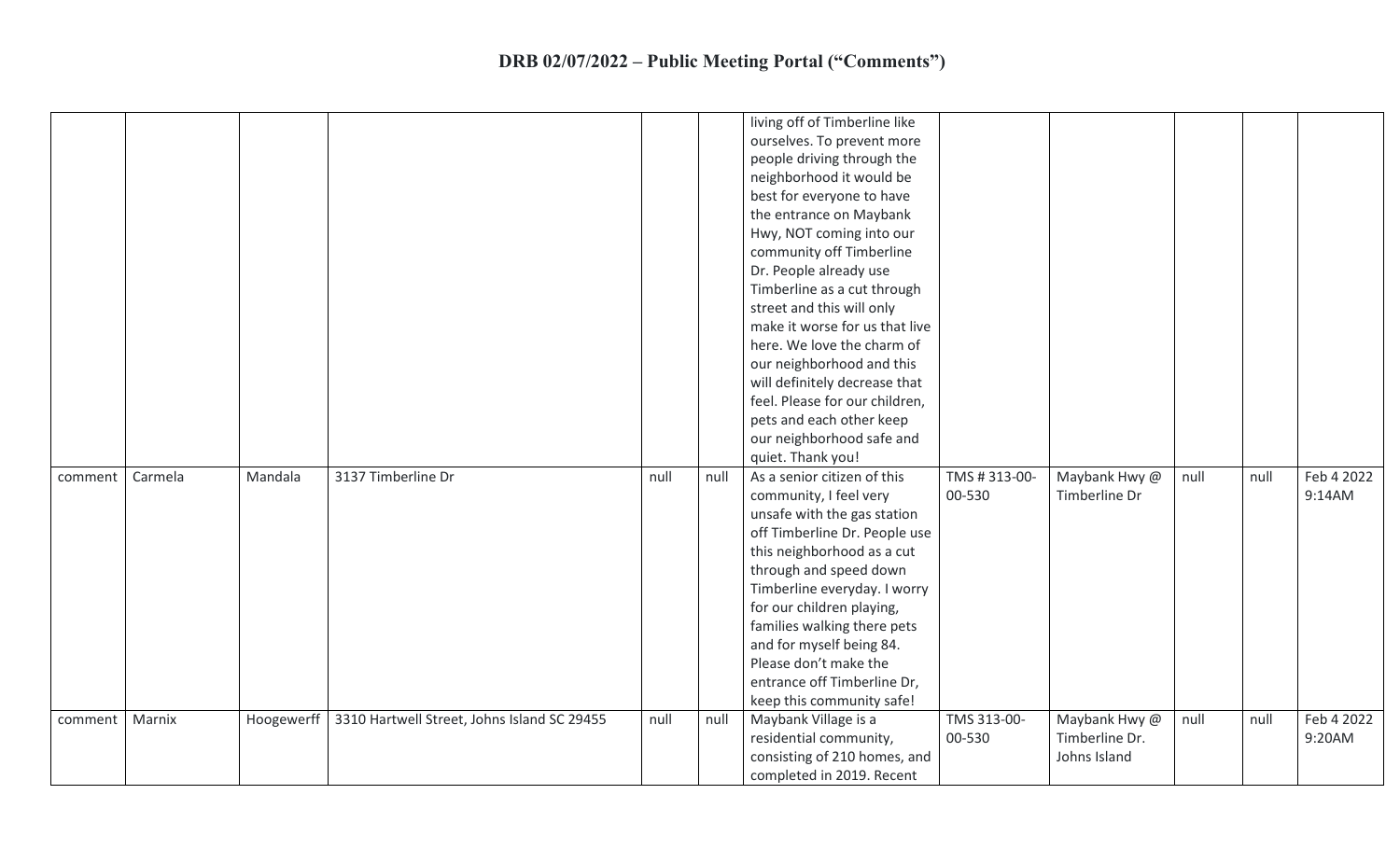|         |         |            |                                             |      |      | living off of Timberline like<br>ourselves. To prevent more<br>people driving through the<br>neighborhood it would be<br>best for everyone to have<br>the entrance on Maybank<br>Hwy, NOT coming into our<br>community off Timberline<br>Dr. People already use<br>Timberline as a cut through<br>street and this will only<br>make it worse for us that live<br>here. We love the charm of<br>our neighborhood and this<br>will definitely decrease that<br>feel. Please for our children,<br>pets and each other keep<br>our neighborhood safe and<br>quiet. Thank you! |                        |                                                 |      |      |                      |
|---------|---------|------------|---------------------------------------------|------|------|---------------------------------------------------------------------------------------------------------------------------------------------------------------------------------------------------------------------------------------------------------------------------------------------------------------------------------------------------------------------------------------------------------------------------------------------------------------------------------------------------------------------------------------------------------------------------|------------------------|-------------------------------------------------|------|------|----------------------|
| comment | Carmela | Mandala    | 3137 Timberline Dr                          | null | null | As a senior citizen of this<br>community, I feel very<br>unsafe with the gas station<br>off Timberline Dr. People use<br>this neighborhood as a cut<br>through and speed down<br>Timberline everyday. I worry<br>for our children playing,<br>families walking there pets<br>and for myself being 84.<br>Please don't make the<br>entrance off Timberline Dr,<br>keep this community safe!                                                                                                                                                                                | TMS #313-00-<br>00-530 | Maybank Hwy @<br>Timberline Dr                  | null | null | Feb 4 2022<br>9:14AM |
| comment | Marnix  | Hoogewerff | 3310 Hartwell Street, Johns Island SC 29455 | null | null | Maybank Village is a<br>residential community,<br>consisting of 210 homes, and<br>completed in 2019. Recent                                                                                                                                                                                                                                                                                                                                                                                                                                                               | TMS 313-00-<br>00-530  | Maybank Hwy @<br>Timberline Dr.<br>Johns Island | null | null | Feb 4 2022<br>9:20AM |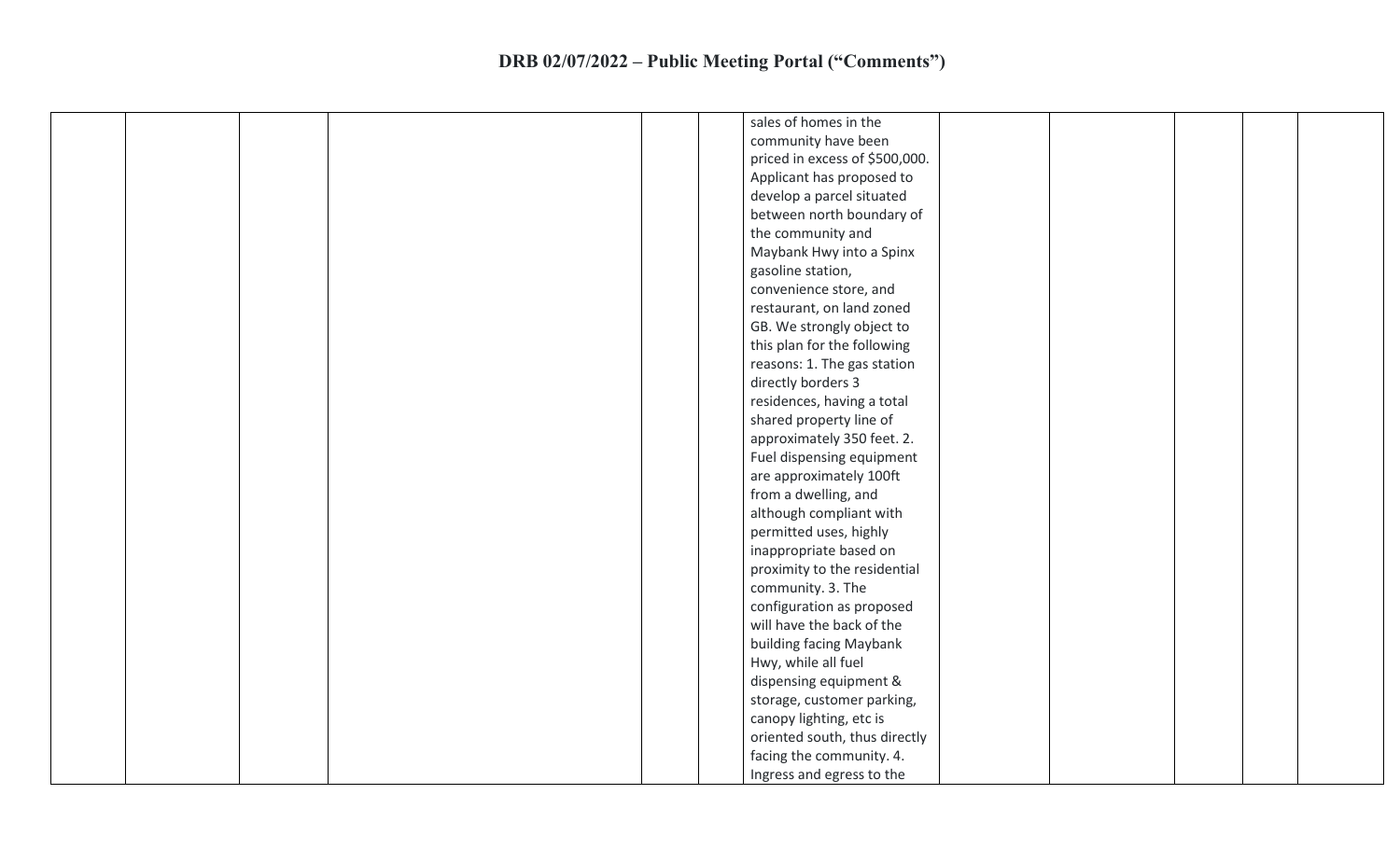|  |  | sales of homes in the          |  |
|--|--|--------------------------------|--|
|  |  | community have been            |  |
|  |  | priced in excess of \$500,000. |  |
|  |  | Applicant has proposed to      |  |
|  |  | develop a parcel situated      |  |
|  |  | between north boundary of      |  |
|  |  | the community and              |  |
|  |  | Maybank Hwy into a Spinx       |  |
|  |  | gasoline station,              |  |
|  |  |                                |  |
|  |  | convenience store, and         |  |
|  |  | restaurant, on land zoned      |  |
|  |  | GB. We strongly object to      |  |
|  |  | this plan for the following    |  |
|  |  | reasons: 1. The gas station    |  |
|  |  | directly borders 3             |  |
|  |  | residences, having a total     |  |
|  |  | shared property line of        |  |
|  |  | approximately 350 feet. 2.     |  |
|  |  | Fuel dispensing equipment      |  |
|  |  | are approximately 100ft        |  |
|  |  | from a dwelling, and           |  |
|  |  | although compliant with        |  |
|  |  | permitted uses, highly         |  |
|  |  | inappropriate based on         |  |
|  |  | proximity to the residential   |  |
|  |  | community. 3. The              |  |
|  |  | configuration as proposed      |  |
|  |  | will have the back of the      |  |
|  |  | building facing Maybank        |  |
|  |  | Hwy, while all fuel            |  |
|  |  | dispensing equipment &         |  |
|  |  | storage, customer parking,     |  |
|  |  | canopy lighting, etc is        |  |
|  |  | oriented south, thus directly  |  |
|  |  | facing the community. 4.       |  |
|  |  |                                |  |
|  |  | Ingress and egress to the      |  |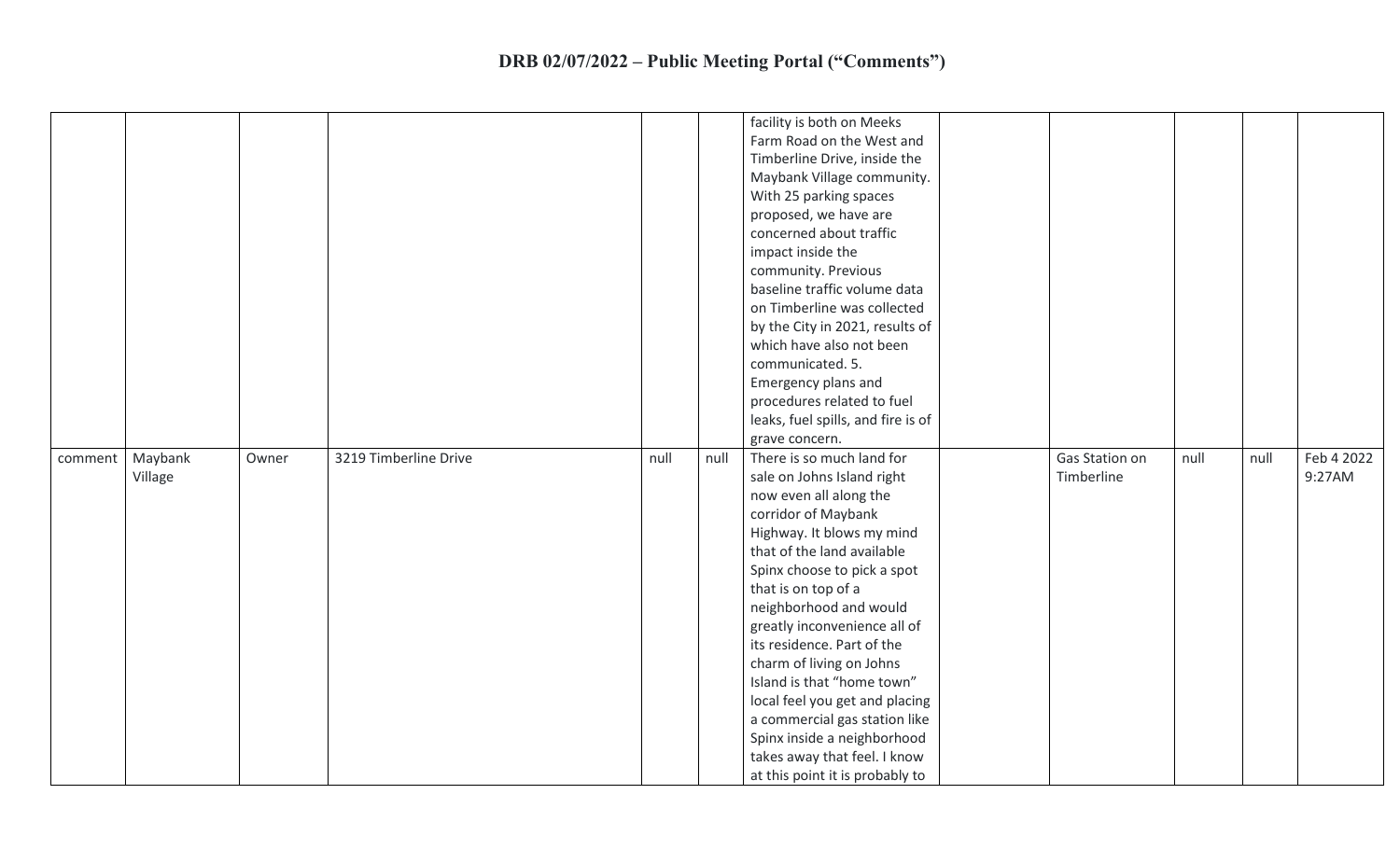|         |         |       |                       |      |      | facility is both on Meeks<br>Farm Road on the West and          |                |      |      |            |
|---------|---------|-------|-----------------------|------|------|-----------------------------------------------------------------|----------------|------|------|------------|
|         |         |       |                       |      |      | Timberline Drive, inside the                                    |                |      |      |            |
|         |         |       |                       |      |      | Maybank Village community.                                      |                |      |      |            |
|         |         |       |                       |      |      | With 25 parking spaces                                          |                |      |      |            |
|         |         |       |                       |      |      | proposed, we have are                                           |                |      |      |            |
|         |         |       |                       |      |      | concerned about traffic                                         |                |      |      |            |
|         |         |       |                       |      |      | impact inside the                                               |                |      |      |            |
|         |         |       |                       |      |      | community. Previous                                             |                |      |      |            |
|         |         |       |                       |      |      | baseline traffic volume data                                    |                |      |      |            |
|         |         |       |                       |      |      | on Timberline was collected                                     |                |      |      |            |
|         |         |       |                       |      |      | by the City in 2021, results of                                 |                |      |      |            |
|         |         |       |                       |      |      | which have also not been                                        |                |      |      |            |
|         |         |       |                       |      |      | communicated. 5.                                                |                |      |      |            |
|         |         |       |                       |      |      | Emergency plans and                                             |                |      |      |            |
|         |         |       |                       |      |      | procedures related to fuel                                      |                |      |      |            |
|         |         |       |                       |      |      | leaks, fuel spills, and fire is of                              |                |      |      |            |
|         |         |       |                       |      |      | grave concern.                                                  |                |      |      |            |
|         |         |       |                       |      |      |                                                                 |                |      |      |            |
| comment | Maybank | Owner | 3219 Timberline Drive | null | null | There is so much land for                                       | Gas Station on | null | null | Feb 4 2022 |
|         | Village |       |                       |      |      | sale on Johns Island right                                      | Timberline     |      |      | 9:27AM     |
|         |         |       |                       |      |      | now even all along the                                          |                |      |      |            |
|         |         |       |                       |      |      | corridor of Maybank                                             |                |      |      |            |
|         |         |       |                       |      |      | Highway. It blows my mind                                       |                |      |      |            |
|         |         |       |                       |      |      | that of the land available                                      |                |      |      |            |
|         |         |       |                       |      |      | Spinx choose to pick a spot                                     |                |      |      |            |
|         |         |       |                       |      |      | that is on top of a                                             |                |      |      |            |
|         |         |       |                       |      |      | neighborhood and would                                          |                |      |      |            |
|         |         |       |                       |      |      | greatly inconvenience all of                                    |                |      |      |            |
|         |         |       |                       |      |      | its residence. Part of the                                      |                |      |      |            |
|         |         |       |                       |      |      | charm of living on Johns                                        |                |      |      |            |
|         |         |       |                       |      |      | Island is that "home town"                                      |                |      |      |            |
|         |         |       |                       |      |      | local feel you get and placing                                  |                |      |      |            |
|         |         |       |                       |      |      | a commercial gas station like                                   |                |      |      |            |
|         |         |       |                       |      |      | Spinx inside a neighborhood                                     |                |      |      |            |
|         |         |       |                       |      |      | takes away that feel. I know<br>at this point it is probably to |                |      |      |            |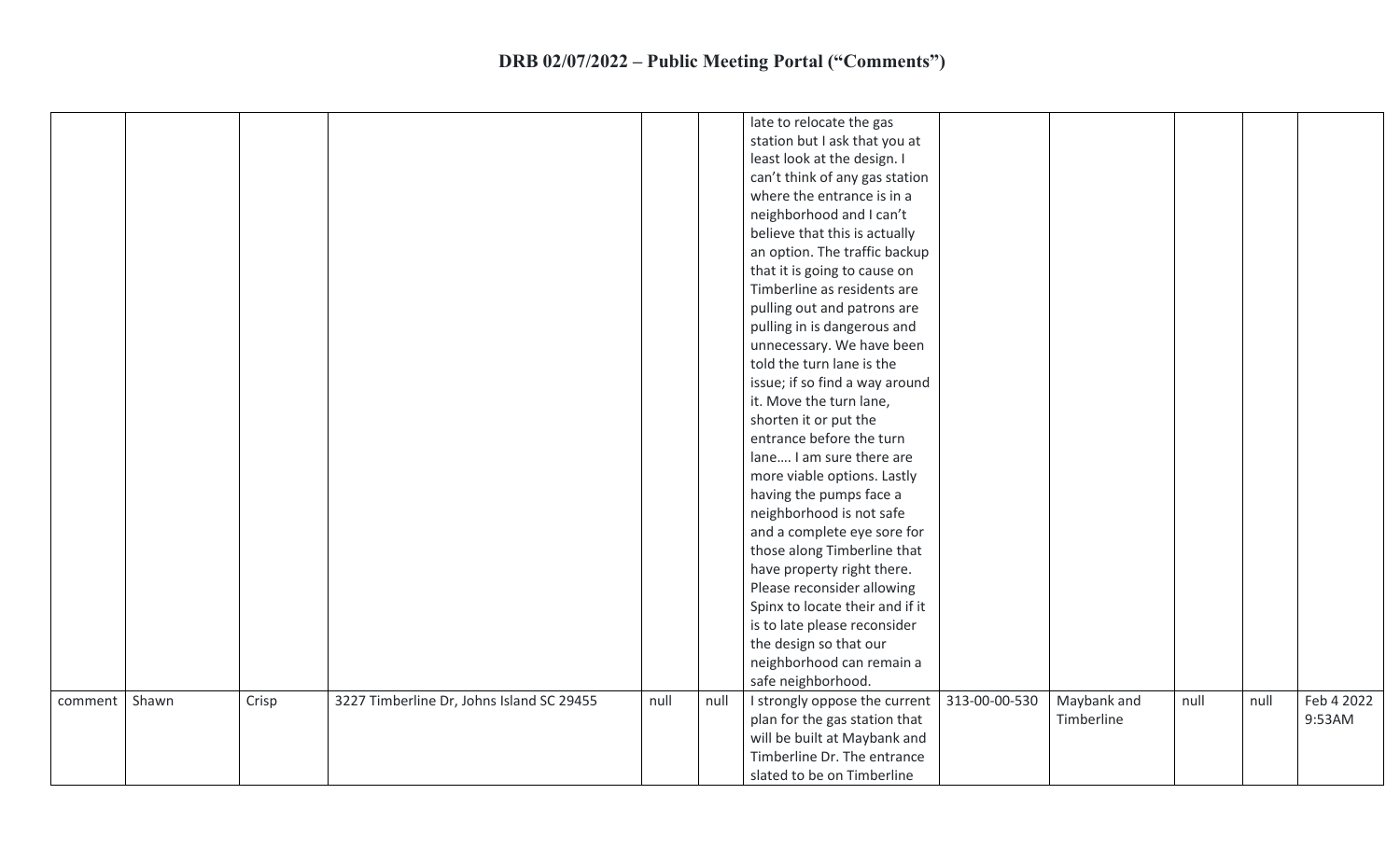|         |       |       |                                           |      |      | late to relocate the gas        |               |             |      |      |            |
|---------|-------|-------|-------------------------------------------|------|------|---------------------------------|---------------|-------------|------|------|------------|
|         |       |       |                                           |      |      | station but I ask that you at   |               |             |      |      |            |
|         |       |       |                                           |      |      | least look at the design. I     |               |             |      |      |            |
|         |       |       |                                           |      |      | can't think of any gas station  |               |             |      |      |            |
|         |       |       |                                           |      |      | where the entrance is in a      |               |             |      |      |            |
|         |       |       |                                           |      |      | neighborhood and I can't        |               |             |      |      |            |
|         |       |       |                                           |      |      | believe that this is actually   |               |             |      |      |            |
|         |       |       |                                           |      |      | an option. The traffic backup   |               |             |      |      |            |
|         |       |       |                                           |      |      | that it is going to cause on    |               |             |      |      |            |
|         |       |       |                                           |      |      | Timberline as residents are     |               |             |      |      |            |
|         |       |       |                                           |      |      | pulling out and patrons are     |               |             |      |      |            |
|         |       |       |                                           |      |      | pulling in is dangerous and     |               |             |      |      |            |
|         |       |       |                                           |      |      | unnecessary. We have been       |               |             |      |      |            |
|         |       |       |                                           |      |      | told the turn lane is the       |               |             |      |      |            |
|         |       |       |                                           |      |      | issue; if so find a way around  |               |             |      |      |            |
|         |       |       |                                           |      |      | it. Move the turn lane,         |               |             |      |      |            |
|         |       |       |                                           |      |      | shorten it or put the           |               |             |      |      |            |
|         |       |       |                                           |      |      | entrance before the turn        |               |             |      |      |            |
|         |       |       |                                           |      |      | lane I am sure there are        |               |             |      |      |            |
|         |       |       |                                           |      |      | more viable options. Lastly     |               |             |      |      |            |
|         |       |       |                                           |      |      | having the pumps face a         |               |             |      |      |            |
|         |       |       |                                           |      |      | neighborhood is not safe        |               |             |      |      |            |
|         |       |       |                                           |      |      | and a complete eye sore for     |               |             |      |      |            |
|         |       |       |                                           |      |      | those along Timberline that     |               |             |      |      |            |
|         |       |       |                                           |      |      | have property right there.      |               |             |      |      |            |
|         |       |       |                                           |      |      | Please reconsider allowing      |               |             |      |      |            |
|         |       |       |                                           |      |      | Spinx to locate their and if it |               |             |      |      |            |
|         |       |       |                                           |      |      | is to late please reconsider    |               |             |      |      |            |
|         |       |       |                                           |      |      | the design so that our          |               |             |      |      |            |
|         |       |       |                                           |      |      | neighborhood can remain a       |               |             |      |      |            |
|         |       |       |                                           |      |      | safe neighborhood.              |               |             |      |      |            |
| comment | Shawn | Crisp | 3227 Timberline Dr, Johns Island SC 29455 | null | null | I strongly oppose the current   | 313-00-00-530 | Maybank and | null | null | Feb 4 2022 |
|         |       |       |                                           |      |      | plan for the gas station that   |               | Timberline  |      |      | 9:53AM     |
|         |       |       |                                           |      |      | will be built at Maybank and    |               |             |      |      |            |
|         |       |       |                                           |      |      | Timberline Dr. The entrance     |               |             |      |      |            |
|         |       |       |                                           |      |      | slated to be on Timberline      |               |             |      |      |            |
|         |       |       |                                           |      |      |                                 |               |             |      |      |            |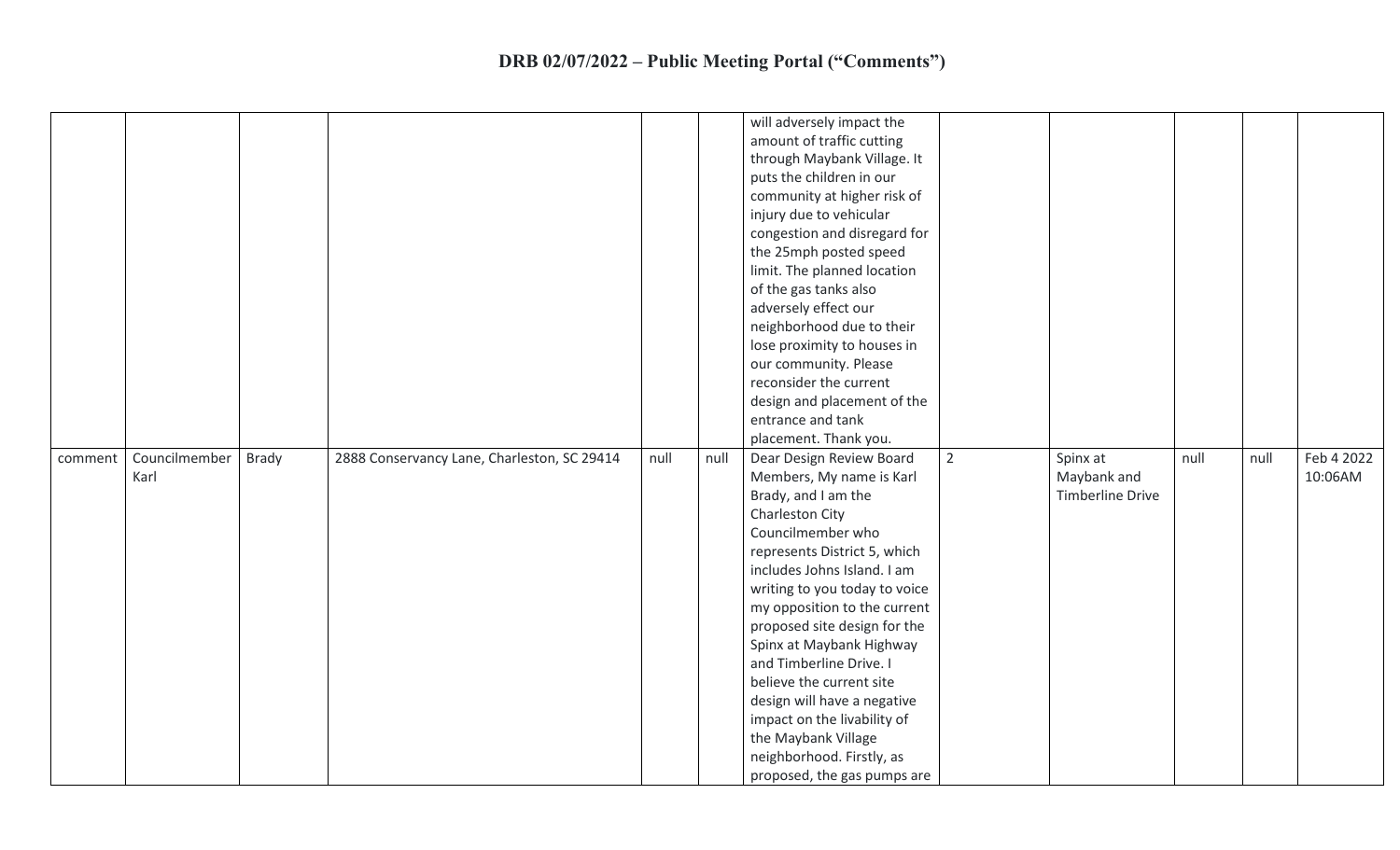|         |               |       |                                             |      |      | will adversely impact the                  |                  |      |      |            |
|---------|---------------|-------|---------------------------------------------|------|------|--------------------------------------------|------------------|------|------|------------|
|         |               |       |                                             |      |      | amount of traffic cutting                  |                  |      |      |            |
|         |               |       |                                             |      |      | through Maybank Village. It                |                  |      |      |            |
|         |               |       |                                             |      |      | puts the children in our                   |                  |      |      |            |
|         |               |       |                                             |      |      | community at higher risk of                |                  |      |      |            |
|         |               |       |                                             |      |      | injury due to vehicular                    |                  |      |      |            |
|         |               |       |                                             |      |      | congestion and disregard for               |                  |      |      |            |
|         |               |       |                                             |      |      |                                            |                  |      |      |            |
|         |               |       |                                             |      |      | the 25mph posted speed                     |                  |      |      |            |
|         |               |       |                                             |      |      | limit. The planned location                |                  |      |      |            |
|         |               |       |                                             |      |      | of the gas tanks also                      |                  |      |      |            |
|         |               |       |                                             |      |      | adversely effect our                       |                  |      |      |            |
|         |               |       |                                             |      |      | neighborhood due to their                  |                  |      |      |            |
|         |               |       |                                             |      |      | lose proximity to houses in                |                  |      |      |            |
|         |               |       |                                             |      |      | our community. Please                      |                  |      |      |            |
|         |               |       |                                             |      |      | reconsider the current                     |                  |      |      |            |
|         |               |       |                                             |      |      | design and placement of the                |                  |      |      |            |
|         |               |       |                                             |      |      | entrance and tank                          |                  |      |      |            |
|         |               |       |                                             |      |      | placement. Thank you.                      |                  |      |      |            |
|         |               |       |                                             |      |      |                                            |                  |      |      |            |
| comment | Councilmember | Brady | 2888 Conservancy Lane, Charleston, SC 29414 | null | null | $\overline{2}$<br>Dear Design Review Board | Spinx at         | null | null | Feb 4 2022 |
|         | Karl          |       |                                             |      |      | Members, My name is Karl                   | Maybank and      |      |      | 10:06AM    |
|         |               |       |                                             |      |      | Brady, and I am the                        | Timberline Drive |      |      |            |
|         |               |       |                                             |      |      | Charleston City                            |                  |      |      |            |
|         |               |       |                                             |      |      | Councilmember who                          |                  |      |      |            |
|         |               |       |                                             |      |      | represents District 5, which               |                  |      |      |            |
|         |               |       |                                             |      |      | includes Johns Island. I am                |                  |      |      |            |
|         |               |       |                                             |      |      | writing to you today to voice              |                  |      |      |            |
|         |               |       |                                             |      |      | my opposition to the current               |                  |      |      |            |
|         |               |       |                                             |      |      | proposed site design for the               |                  |      |      |            |
|         |               |       |                                             |      |      | Spinx at Maybank Highway                   |                  |      |      |            |
|         |               |       |                                             |      |      | and Timberline Drive. I                    |                  |      |      |            |
|         |               |       |                                             |      |      | believe the current site                   |                  |      |      |            |
|         |               |       |                                             |      |      | design will have a negative                |                  |      |      |            |
|         |               |       |                                             |      |      | impact on the livability of                |                  |      |      |            |
|         |               |       |                                             |      |      | the Maybank Village                        |                  |      |      |            |
|         |               |       |                                             |      |      | neighborhood. Firstly, as                  |                  |      |      |            |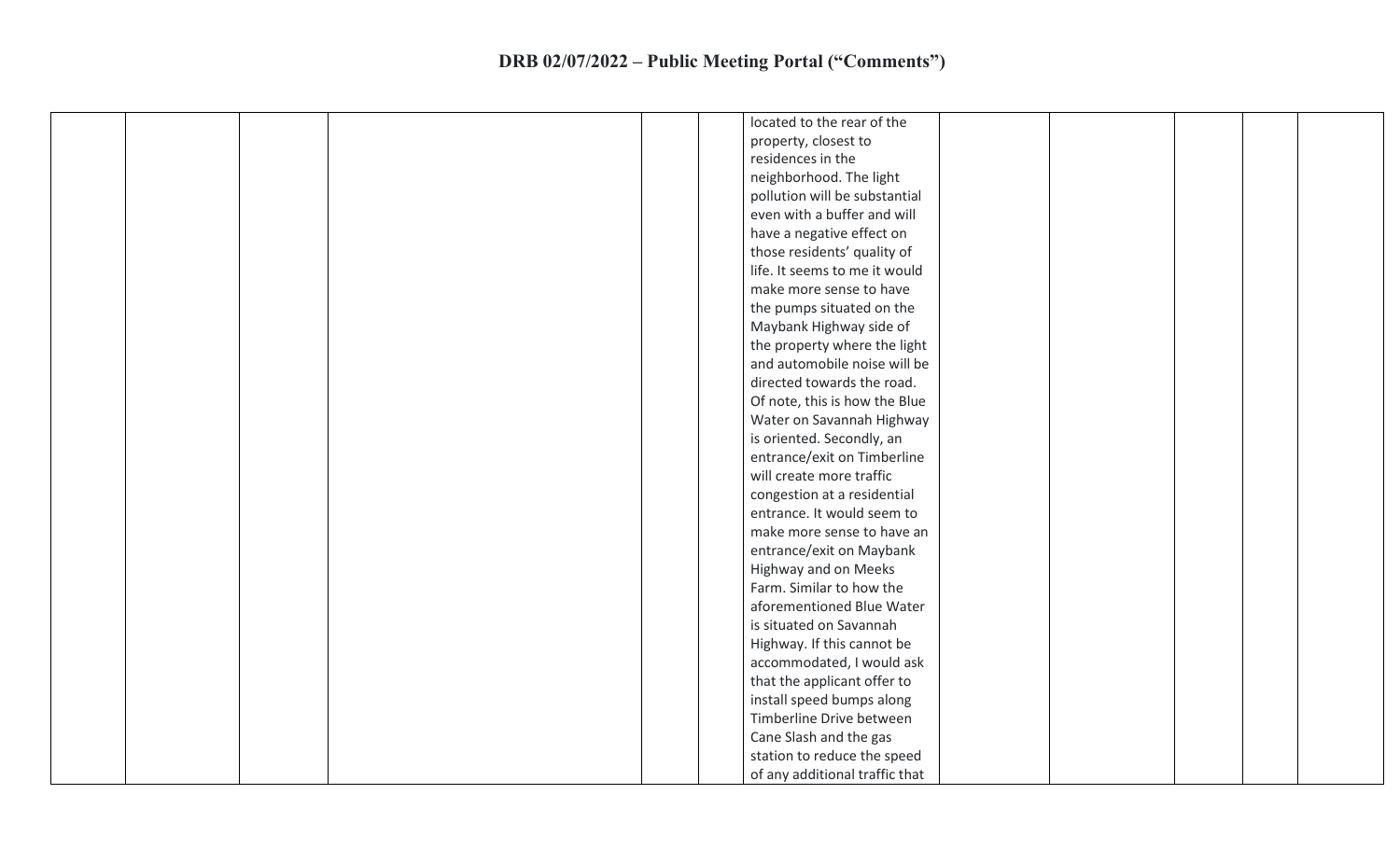|  |  |  | located to the rear of the     |  |  |
|--|--|--|--------------------------------|--|--|
|  |  |  | property, closest to           |  |  |
|  |  |  | residences in the              |  |  |
|  |  |  | neighborhood. The light        |  |  |
|  |  |  | pollution will be substantial  |  |  |
|  |  |  | even with a buffer and will    |  |  |
|  |  |  | have a negative effect on      |  |  |
|  |  |  | those residents' quality of    |  |  |
|  |  |  | life. It seems to me it would  |  |  |
|  |  |  | make more sense to have        |  |  |
|  |  |  | the pumps situated on the      |  |  |
|  |  |  | Maybank Highway side of        |  |  |
|  |  |  | the property where the light   |  |  |
|  |  |  | and automobile noise will be   |  |  |
|  |  |  | directed towards the road.     |  |  |
|  |  |  | Of note, this is how the Blue  |  |  |
|  |  |  | Water on Savannah Highway      |  |  |
|  |  |  | is oriented. Secondly, an      |  |  |
|  |  |  | entrance/exit on Timberline    |  |  |
|  |  |  | will create more traffic       |  |  |
|  |  |  | congestion at a residential    |  |  |
|  |  |  | entrance. It would seem to     |  |  |
|  |  |  | make more sense to have an     |  |  |
|  |  |  | entrance/exit on Maybank       |  |  |
|  |  |  | Highway and on Meeks           |  |  |
|  |  |  | Farm. Similar to how the       |  |  |
|  |  |  | aforementioned Blue Water      |  |  |
|  |  |  | is situated on Savannah        |  |  |
|  |  |  | Highway. If this cannot be     |  |  |
|  |  |  | accommodated, I would ask      |  |  |
|  |  |  | that the applicant offer to    |  |  |
|  |  |  | install speed bumps along      |  |  |
|  |  |  | Timberline Drive between       |  |  |
|  |  |  | Cane Slash and the gas         |  |  |
|  |  |  | station to reduce the speed    |  |  |
|  |  |  | of any additional traffic that |  |  |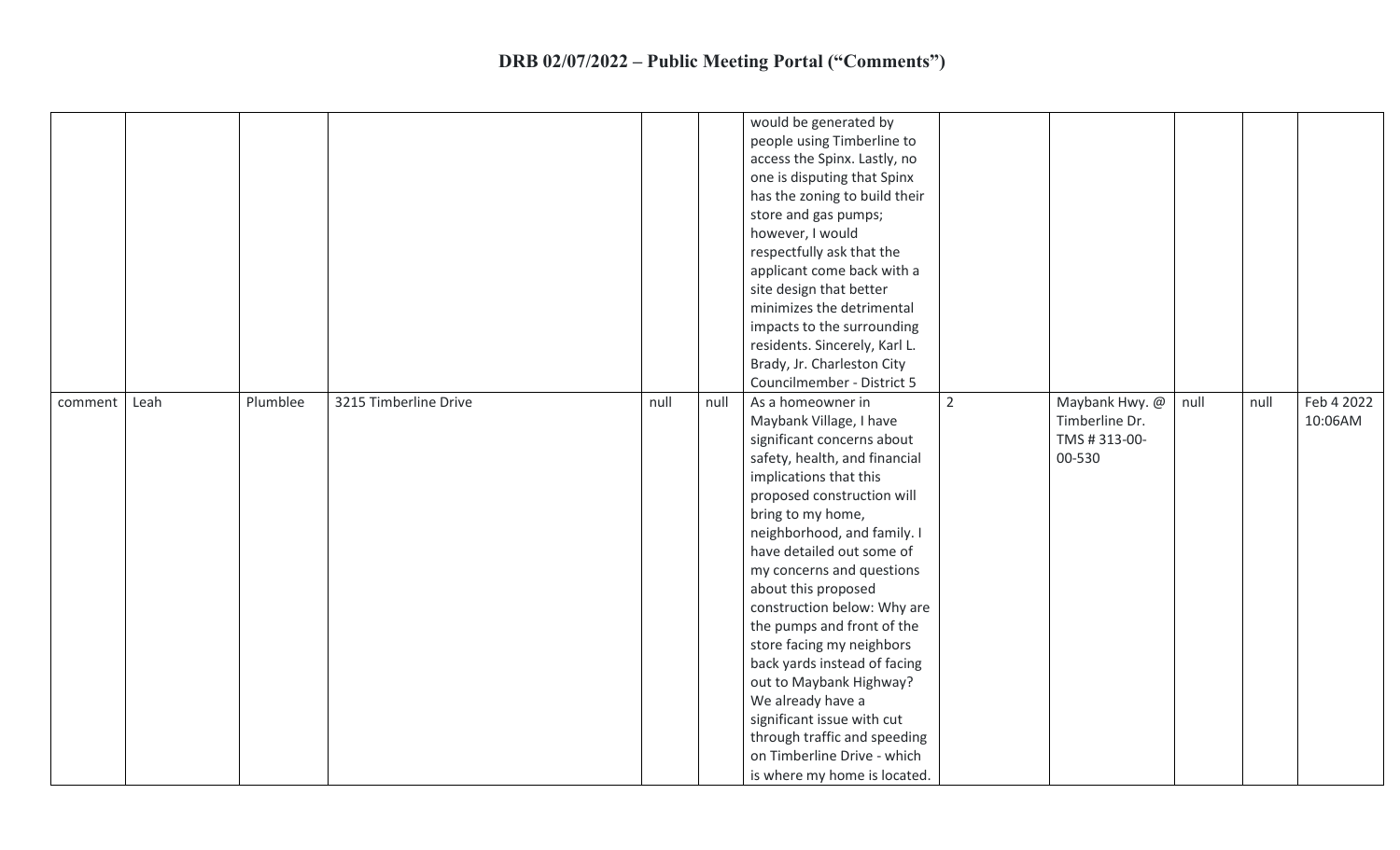|         |      |          |                       |      |      | would be generated by<br>people using Timberline to<br>access the Spinx. Lastly, no<br>one is disputing that Spinx<br>has the zoning to build their<br>store and gas pumps;<br>however, I would<br>respectfully ask that the<br>applicant come back with a<br>site design that better<br>minimizes the detrimental<br>impacts to the surrounding<br>residents. Sincerely, Karl L.<br>Brady, Jr. Charleston City<br>Councilmember - District 5                                                                                                                                                                   |                |                                                             |      |      |                       |
|---------|------|----------|-----------------------|------|------|-----------------------------------------------------------------------------------------------------------------------------------------------------------------------------------------------------------------------------------------------------------------------------------------------------------------------------------------------------------------------------------------------------------------------------------------------------------------------------------------------------------------------------------------------------------------------------------------------------------------|----------------|-------------------------------------------------------------|------|------|-----------------------|
| comment | Leah | Plumblee | 3215 Timberline Drive | null | null | As a homeowner in<br>Maybank Village, I have<br>significant concerns about<br>safety, health, and financial<br>implications that this<br>proposed construction will<br>bring to my home,<br>neighborhood, and family. I<br>have detailed out some of<br>my concerns and questions<br>about this proposed<br>construction below: Why are<br>the pumps and front of the<br>store facing my neighbors<br>back yards instead of facing<br>out to Maybank Highway?<br>We already have a<br>significant issue with cut<br>through traffic and speeding<br>on Timberline Drive - which<br>is where my home is located. | $\overline{2}$ | Maybank Hwy. @<br>Timberline Dr.<br>TMS # 313-00-<br>00-530 | null | null | Feb 4 2022<br>10:06AM |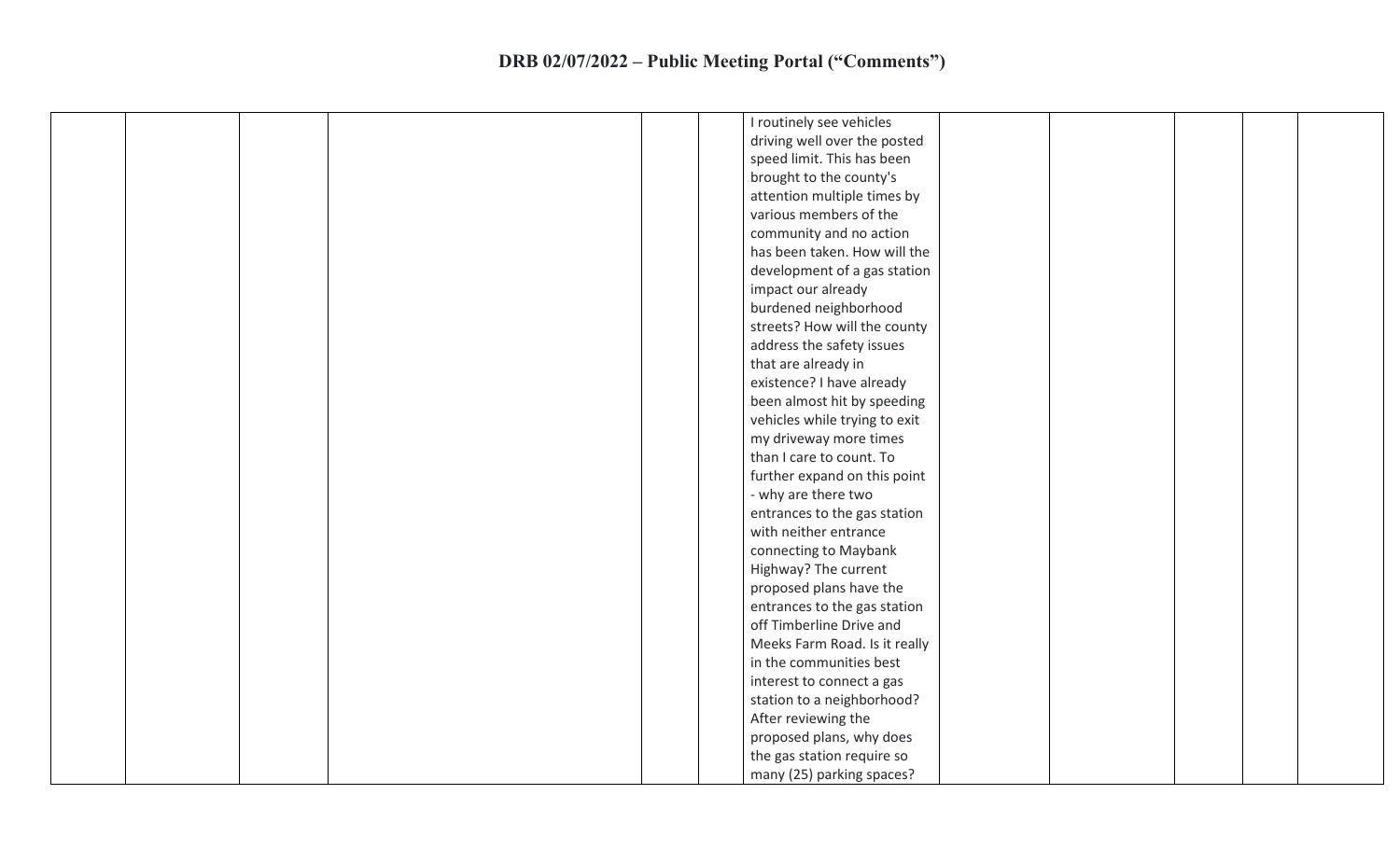|  |  | I routinely see vehicles      |
|--|--|-------------------------------|
|  |  | driving well over the posted  |
|  |  | speed limit. This has been    |
|  |  | brought to the county's       |
|  |  | attention multiple times by   |
|  |  | various members of the        |
|  |  | community and no action       |
|  |  | has been taken. How will the  |
|  |  | development of a gas station  |
|  |  | impact our already            |
|  |  | burdened neighborhood         |
|  |  | streets? How will the county  |
|  |  | address the safety issues     |
|  |  | that are already in           |
|  |  | existence? I have already     |
|  |  | been almost hit by speeding   |
|  |  | vehicles while trying to exit |
|  |  | my driveway more times        |
|  |  | than I care to count. To      |
|  |  | further expand on this point  |
|  |  | - why are there two           |
|  |  | entrances to the gas station  |
|  |  | with neither entrance         |
|  |  | connecting to Maybank         |
|  |  | Highway? The current          |
|  |  | proposed plans have the       |
|  |  | entrances to the gas station  |
|  |  | off Timberline Drive and      |
|  |  | Meeks Farm Road. Is it really |
|  |  | in the communities best       |
|  |  | interest to connect a gas     |
|  |  | station to a neighborhood?    |
|  |  | After reviewing the           |
|  |  | proposed plans, why does      |
|  |  | the gas station require so    |
|  |  |                               |
|  |  | many (25) parking spaces?     |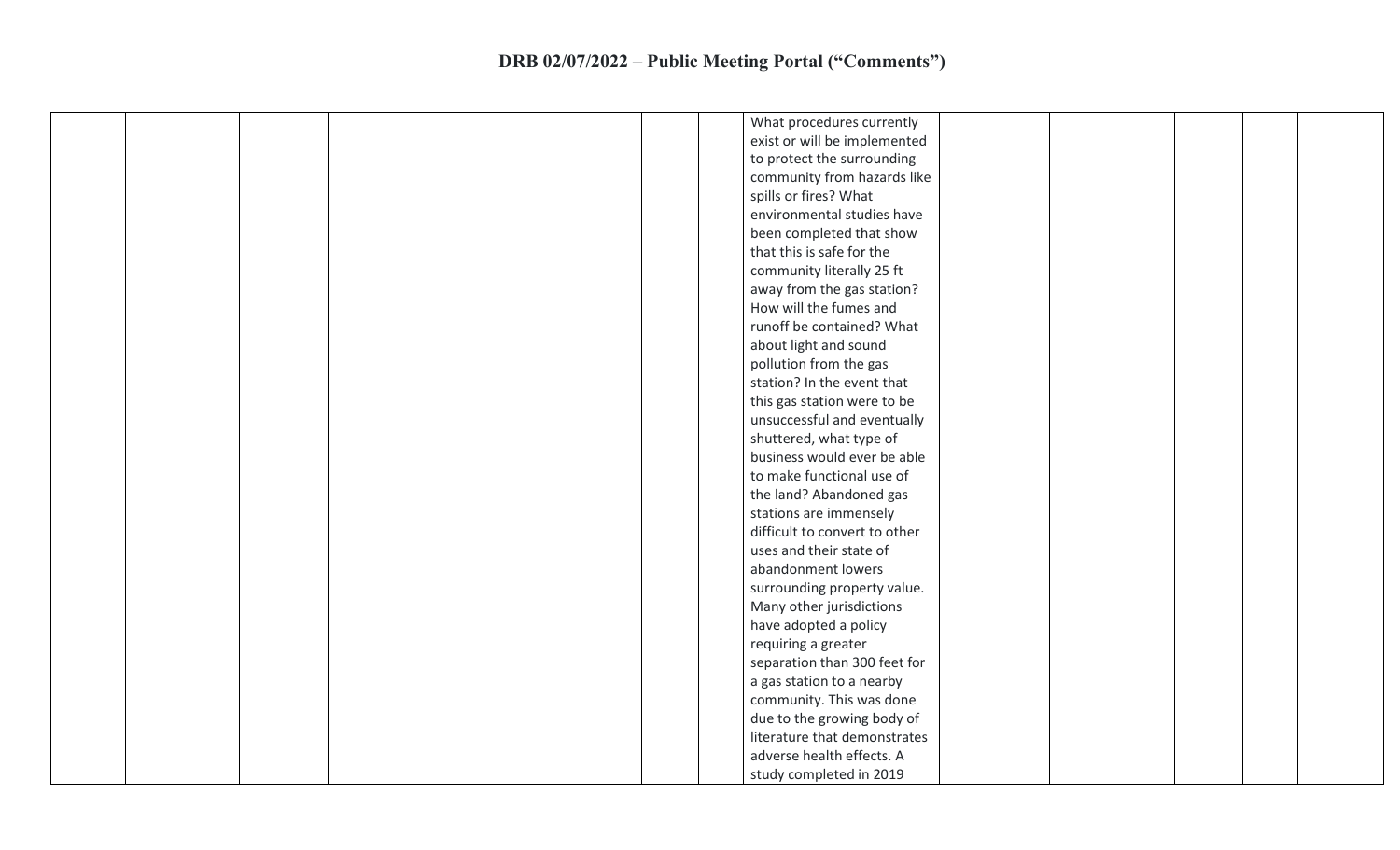|  |  |  | What procedures currently     |  |  |
|--|--|--|-------------------------------|--|--|
|  |  |  | exist or will be implemented  |  |  |
|  |  |  | to protect the surrounding    |  |  |
|  |  |  | community from hazards like   |  |  |
|  |  |  | spills or fires? What         |  |  |
|  |  |  | environmental studies have    |  |  |
|  |  |  | been completed that show      |  |  |
|  |  |  | that this is safe for the     |  |  |
|  |  |  | community literally 25 ft     |  |  |
|  |  |  | away from the gas station?    |  |  |
|  |  |  | How will the fumes and        |  |  |
|  |  |  | runoff be contained? What     |  |  |
|  |  |  | about light and sound         |  |  |
|  |  |  | pollution from the gas        |  |  |
|  |  |  | station? In the event that    |  |  |
|  |  |  | this gas station were to be   |  |  |
|  |  |  | unsuccessful and eventually   |  |  |
|  |  |  | shuttered, what type of       |  |  |
|  |  |  | business would ever be able   |  |  |
|  |  |  | to make functional use of     |  |  |
|  |  |  | the land? Abandoned gas       |  |  |
|  |  |  | stations are immensely        |  |  |
|  |  |  | difficult to convert to other |  |  |
|  |  |  | uses and their state of       |  |  |
|  |  |  | abandonment lowers            |  |  |
|  |  |  | surrounding property value.   |  |  |
|  |  |  | Many other jurisdictions      |  |  |
|  |  |  | have adopted a policy         |  |  |
|  |  |  | requiring a greater           |  |  |
|  |  |  | separation than 300 feet for  |  |  |
|  |  |  | a gas station to a nearby     |  |  |
|  |  |  | community. This was done      |  |  |
|  |  |  | due to the growing body of    |  |  |
|  |  |  | literature that demonstrates  |  |  |
|  |  |  | adverse health effects. A     |  |  |
|  |  |  | study completed in 2019       |  |  |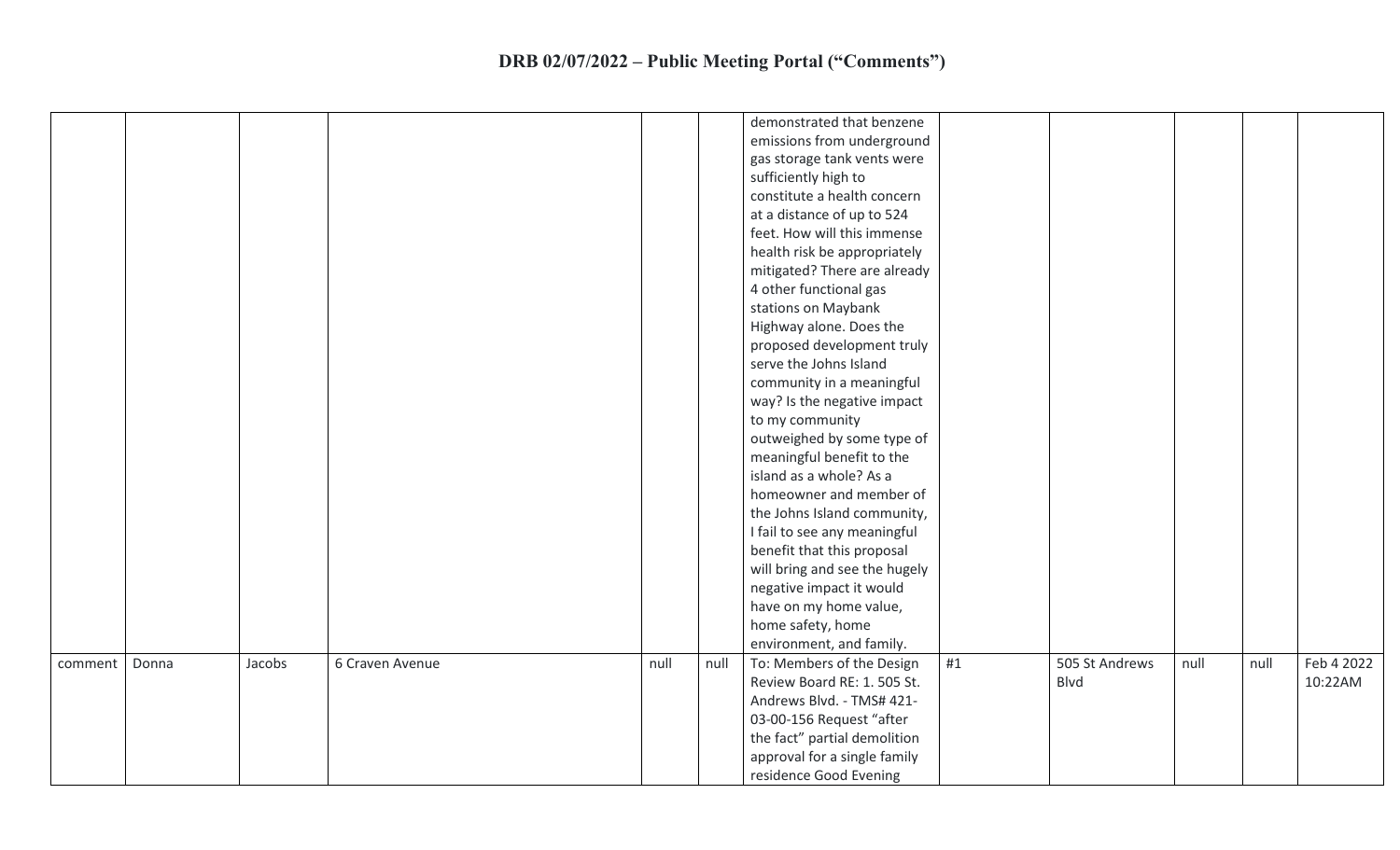|         |       |        |                 |      |      | demonstrated that benzene     |    |                |      |      |            |
|---------|-------|--------|-----------------|------|------|-------------------------------|----|----------------|------|------|------------|
|         |       |        |                 |      |      | emissions from underground    |    |                |      |      |            |
|         |       |        |                 |      |      | gas storage tank vents were   |    |                |      |      |            |
|         |       |        |                 |      |      | sufficiently high to          |    |                |      |      |            |
|         |       |        |                 |      |      | constitute a health concern   |    |                |      |      |            |
|         |       |        |                 |      |      | at a distance of up to 524    |    |                |      |      |            |
|         |       |        |                 |      |      | feet. How will this immense   |    |                |      |      |            |
|         |       |        |                 |      |      | health risk be appropriately  |    |                |      |      |            |
|         |       |        |                 |      |      | mitigated? There are already  |    |                |      |      |            |
|         |       |        |                 |      |      | 4 other functional gas        |    |                |      |      |            |
|         |       |        |                 |      |      | stations on Maybank           |    |                |      |      |            |
|         |       |        |                 |      |      | Highway alone. Does the       |    |                |      |      |            |
|         |       |        |                 |      |      | proposed development truly    |    |                |      |      |            |
|         |       |        |                 |      |      | serve the Johns Island        |    |                |      |      |            |
|         |       |        |                 |      |      | community in a meaningful     |    |                |      |      |            |
|         |       |        |                 |      |      | way? Is the negative impact   |    |                |      |      |            |
|         |       |        |                 |      |      | to my community               |    |                |      |      |            |
|         |       |        |                 |      |      | outweighed by some type of    |    |                |      |      |            |
|         |       |        |                 |      |      | meaningful benefit to the     |    |                |      |      |            |
|         |       |        |                 |      |      | island as a whole? As a       |    |                |      |      |            |
|         |       |        |                 |      |      | homeowner and member of       |    |                |      |      |            |
|         |       |        |                 |      |      | the Johns Island community,   |    |                |      |      |            |
|         |       |        |                 |      |      | I fail to see any meaningful  |    |                |      |      |            |
|         |       |        |                 |      |      | benefit that this proposal    |    |                |      |      |            |
|         |       |        |                 |      |      | will bring and see the hugely |    |                |      |      |            |
|         |       |        |                 |      |      | negative impact it would      |    |                |      |      |            |
|         |       |        |                 |      |      | have on my home value,        |    |                |      |      |            |
|         |       |        |                 |      |      | home safety, home             |    |                |      |      |            |
|         |       |        |                 |      |      | environment, and family.      |    |                |      |      |            |
| comment | Donna | Jacobs | 6 Craven Avenue | null | null | To: Members of the Design     | #1 | 505 St Andrews | null | null | Feb 4 2022 |
|         |       |        |                 |      |      | Review Board RE: 1. 505 St.   |    | Blvd           |      |      | 10:22AM    |
|         |       |        |                 |      |      | Andrews Blvd. - TMS# 421-     |    |                |      |      |            |
|         |       |        |                 |      |      | 03-00-156 Request "after      |    |                |      |      |            |
|         |       |        |                 |      |      | the fact" partial demolition  |    |                |      |      |            |
|         |       |        |                 |      |      | approval for a single family  |    |                |      |      |            |
|         |       |        |                 |      |      | residence Good Evening        |    |                |      |      |            |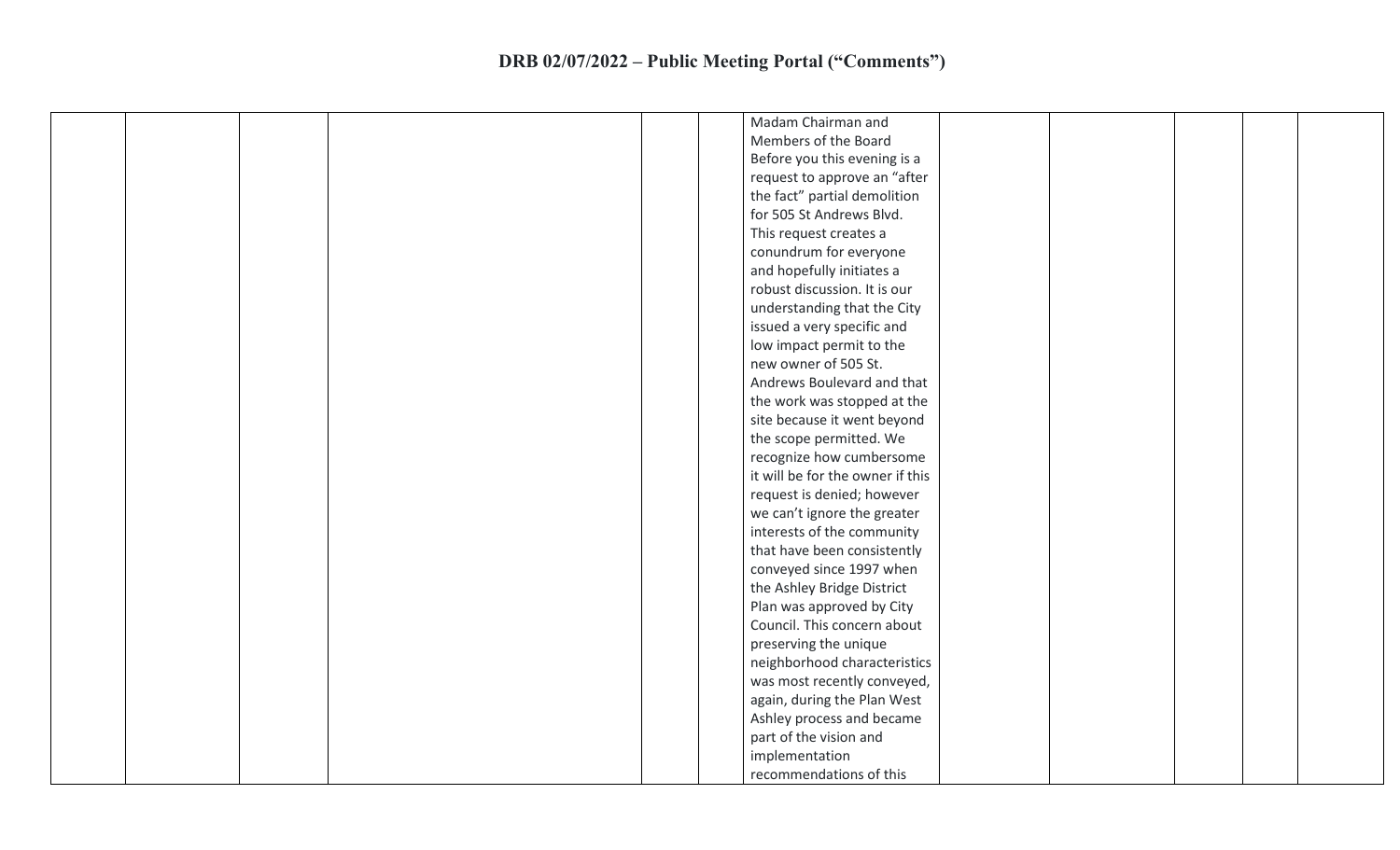| Madam Chairman and               |
|----------------------------------|
| Members of the Board             |
| Before you this evening is a     |
| request to approve an "after     |
| the fact" partial demolition     |
| for 505 St Andrews Blvd.         |
| This request creates a           |
| conundrum for everyone           |
| and hopefully initiates a        |
| robust discussion. It is our     |
| understanding that the City      |
| issued a very specific and       |
| low impact permit to the         |
| new owner of 505 St.             |
| Andrews Boulevard and that       |
| the work was stopped at the      |
| site because it went beyond      |
| the scope permitted. We          |
| recognize how cumbersome         |
| it will be for the owner if this |
| request is denied; however       |
| we can't ignore the greater      |
| interests of the community       |
| that have been consistently      |
| conveyed since 1997 when         |
| the Ashley Bridge District       |
| Plan was approved by City        |
| Council. This concern about      |
| preserving the unique            |
| neighborhood characteristics     |
| was most recently conveyed,      |
| again, during the Plan West      |
| Ashley process and became        |
| part of the vision and           |
| implementation                   |
| recommendations of this          |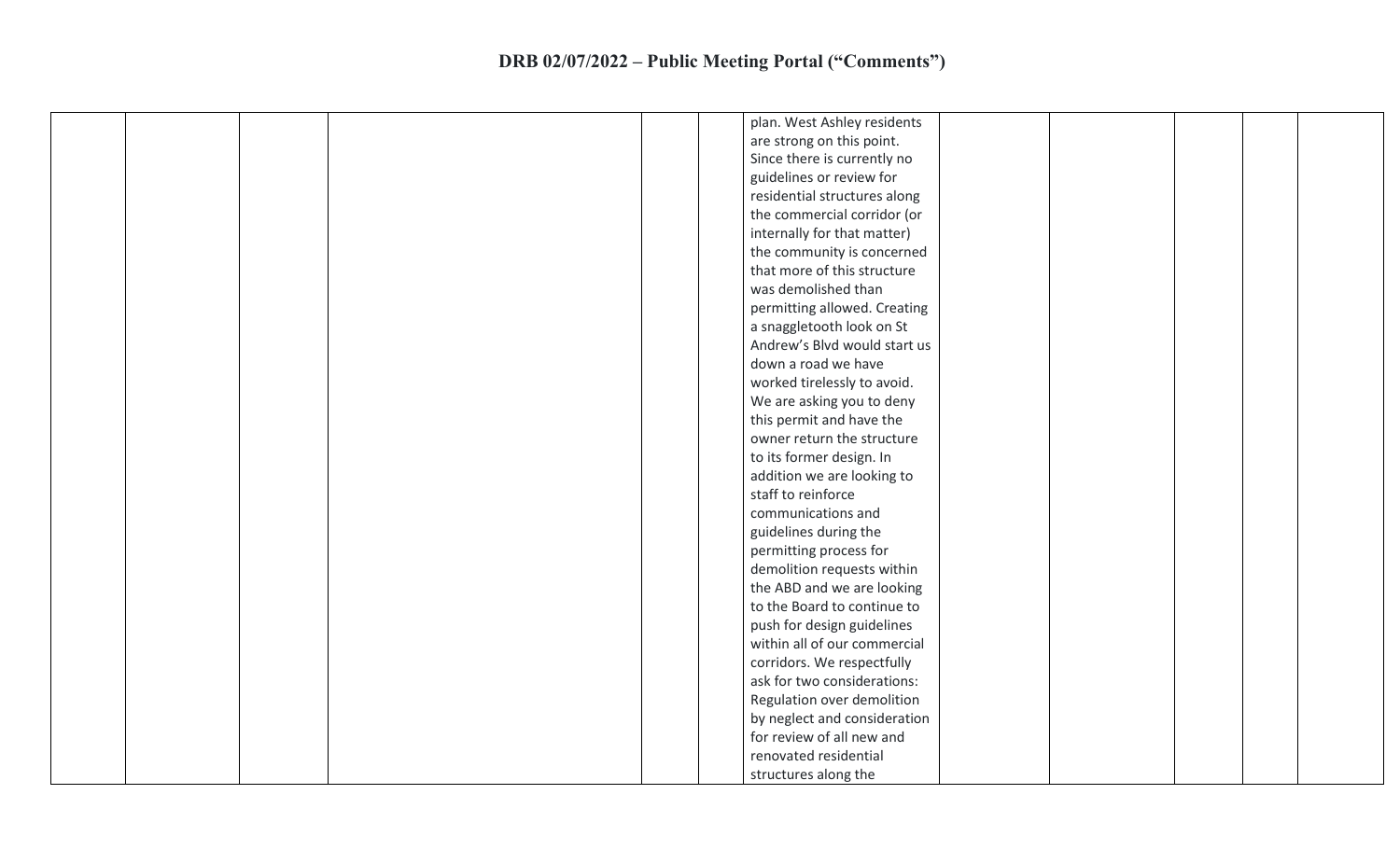|  |  |  | plan. West Ashley residents  |  |  |
|--|--|--|------------------------------|--|--|
|  |  |  | are strong on this point.    |  |  |
|  |  |  | Since there is currently no  |  |  |
|  |  |  | guidelines or review for     |  |  |
|  |  |  | residential structures along |  |  |
|  |  |  | the commercial corridor (or  |  |  |
|  |  |  | internally for that matter)  |  |  |
|  |  |  | the community is concerned   |  |  |
|  |  |  | that more of this structure  |  |  |
|  |  |  | was demolished than          |  |  |
|  |  |  | permitting allowed. Creating |  |  |
|  |  |  | a snaggletooth look on St    |  |  |
|  |  |  | Andrew's Blvd would start us |  |  |
|  |  |  | down a road we have          |  |  |
|  |  |  | worked tirelessly to avoid.  |  |  |
|  |  |  | We are asking you to deny    |  |  |
|  |  |  | this permit and have the     |  |  |
|  |  |  | owner return the structure   |  |  |
|  |  |  | to its former design. In     |  |  |
|  |  |  | addition we are looking to   |  |  |
|  |  |  | staff to reinforce           |  |  |
|  |  |  | communications and           |  |  |
|  |  |  | guidelines during the        |  |  |
|  |  |  | permitting process for       |  |  |
|  |  |  | demolition requests within   |  |  |
|  |  |  | the ABD and we are looking   |  |  |
|  |  |  | to the Board to continue to  |  |  |
|  |  |  | push for design guidelines   |  |  |
|  |  |  | within all of our commercial |  |  |
|  |  |  | corridors. We respectfully   |  |  |
|  |  |  | ask for two considerations:  |  |  |
|  |  |  | Regulation over demolition   |  |  |
|  |  |  | by neglect and consideration |  |  |
|  |  |  | for review of all new and    |  |  |
|  |  |  | renovated residential        |  |  |
|  |  |  | structures along the         |  |  |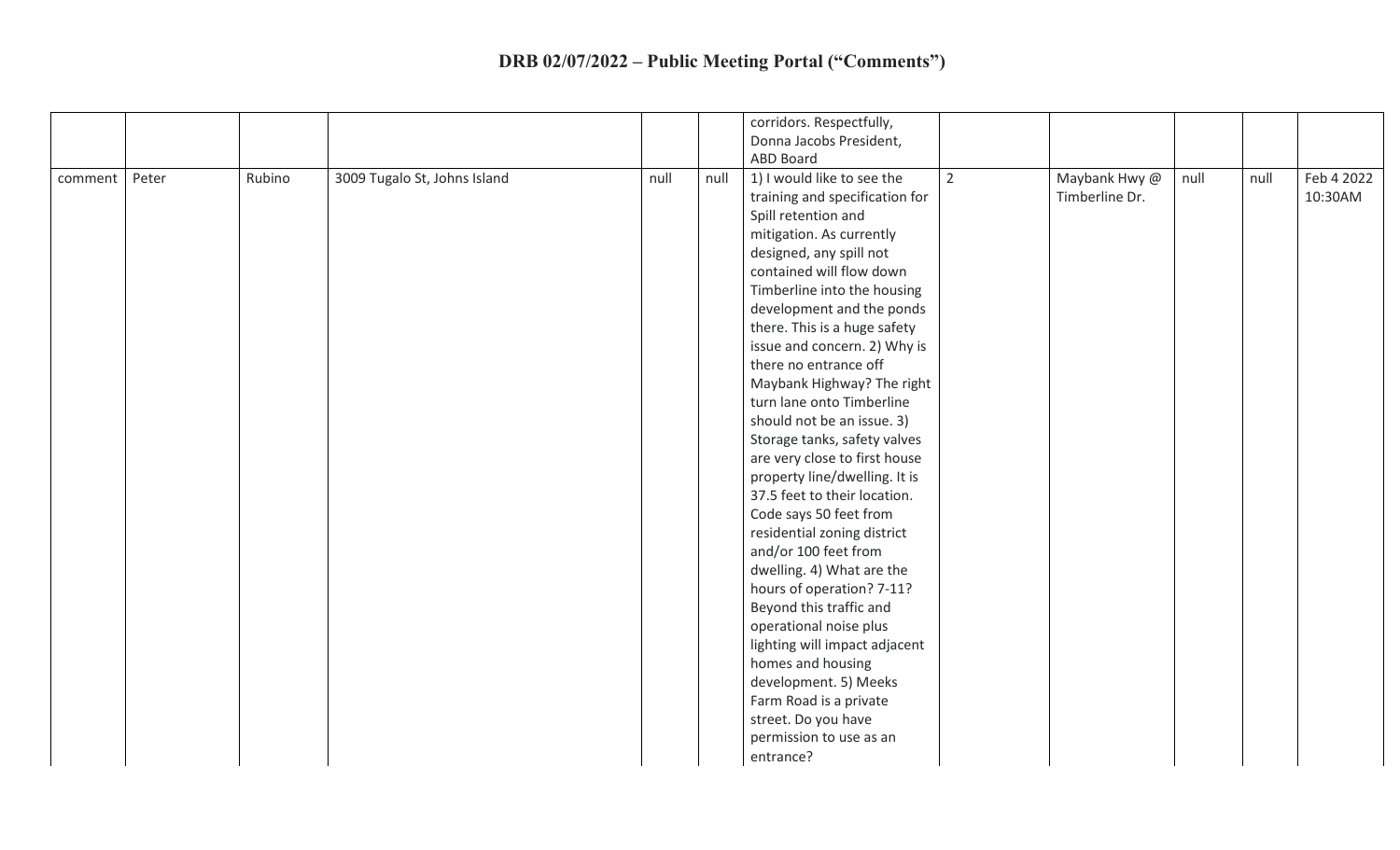|         |       |        |                              |      |      | corridors. Respectfully,                     |                |      |      |            |
|---------|-------|--------|------------------------------|------|------|----------------------------------------------|----------------|------|------|------------|
|         |       |        |                              |      |      | Donna Jacobs President,                      |                |      |      |            |
|         |       |        |                              |      |      | <b>ABD Board</b>                             |                |      |      |            |
| comment | Peter | Rubino | 3009 Tugalo St, Johns Island | null | null | 1) I would like to see the<br>$\overline{2}$ | Maybank Hwy @  | null | null | Feb 4 2022 |
|         |       |        |                              |      |      | training and specification for               | Timberline Dr. |      |      | 10:30AM    |
|         |       |        |                              |      |      | Spill retention and                          |                |      |      |            |
|         |       |        |                              |      |      | mitigation. As currently                     |                |      |      |            |
|         |       |        |                              |      |      | designed, any spill not                      |                |      |      |            |
|         |       |        |                              |      |      | contained will flow down                     |                |      |      |            |
|         |       |        |                              |      |      | Timberline into the housing                  |                |      |      |            |
|         |       |        |                              |      |      | development and the ponds                    |                |      |      |            |
|         |       |        |                              |      |      | there. This is a huge safety                 |                |      |      |            |
|         |       |        |                              |      |      | issue and concern. 2) Why is                 |                |      |      |            |
|         |       |        |                              |      |      | there no entrance off                        |                |      |      |            |
|         |       |        |                              |      |      | Maybank Highway? The right                   |                |      |      |            |
|         |       |        |                              |      |      | turn lane onto Timberline                    |                |      |      |            |
|         |       |        |                              |      |      | should not be an issue. 3)                   |                |      |      |            |
|         |       |        |                              |      |      | Storage tanks, safety valves                 |                |      |      |            |
|         |       |        |                              |      |      | are very close to first house                |                |      |      |            |
|         |       |        |                              |      |      | property line/dwelling. It is                |                |      |      |            |
|         |       |        |                              |      |      | 37.5 feet to their location.                 |                |      |      |            |
|         |       |        |                              |      |      | Code says 50 feet from                       |                |      |      |            |
|         |       |        |                              |      |      | residential zoning district                  |                |      |      |            |
|         |       |        |                              |      |      | and/or 100 feet from                         |                |      |      |            |
|         |       |        |                              |      |      | dwelling. 4) What are the                    |                |      |      |            |
|         |       |        |                              |      |      | hours of operation? 7-11?                    |                |      |      |            |
|         |       |        |                              |      |      | Beyond this traffic and                      |                |      |      |            |
|         |       |        |                              |      |      | operational noise plus                       |                |      |      |            |
|         |       |        |                              |      |      | lighting will impact adjacent                |                |      |      |            |
|         |       |        |                              |      |      | homes and housing                            |                |      |      |            |
|         |       |        |                              |      |      | development. 5) Meeks                        |                |      |      |            |
|         |       |        |                              |      |      | Farm Road is a private                       |                |      |      |            |
|         |       |        |                              |      |      | street. Do you have                          |                |      |      |            |
|         |       |        |                              |      |      | permission to use as an                      |                |      |      |            |
|         |       |        |                              |      |      | entrance?                                    |                |      |      |            |